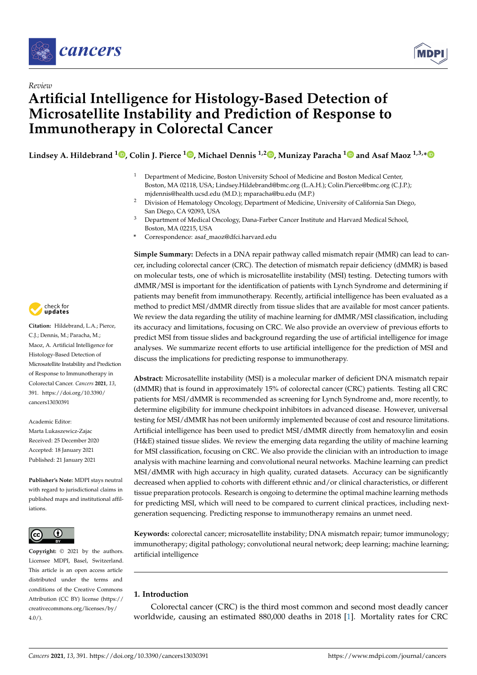



# *Review* **Artificial Intelligence for Histology-Based Detection of Microsatellite Instability and Prediction of Response to Immunotherapy in Colorectal Cancer**

**Lindsey A. Hildebrand <sup>1</sup> [,](https://orcid.org/0000-0003-4841-0677) Colin J. Pierce <sup>1</sup> [,](https://orcid.org/0000-0002-8928-3320) Michael Dennis 1,2 [,](https://orcid.org/0000-0002-8175-5311) Munizay Paracha [1](https://orcid.org/0000-0002-6329-9615) and Asaf Maoz 1,3,[\\*](https://orcid.org/0000-0002-7502-3923)**

- <sup>1</sup> Department of Medicine, Boston University School of Medicine and Boston Medical Center, Boston, MA 02118, USA; Lindsey.Hildebrand@bmc.org (L.A.H.); Colin.Pierce@bmc.org (C.J.P.); mjdennis@health.ucsd.edu (M.D.); mparacha@bu.edu (M.P.)
- <sup>2</sup> Division of Hematology Oncology, Department of Medicine, University of California San Diego, San Diego, CA 92093, USA
- <sup>3</sup> Department of Medical Oncology, Dana-Farber Cancer Institute and Harvard Medical School, Boston, MA 02215, USA
- **\*** Correspondence: asaf\_maoz@dfci.harvard.edu

**Simple Summary:** Defects in a DNA repair pathway called mismatch repair (MMR) can lead to cancer, including colorectal cancer (CRC). The detection of mismatch repair deficiency (dMMR) is based on molecular tests, one of which is microsatellite instability (MSI) testing. Detecting tumors with dMMR/MSI is important for the identification of patients with Lynch Syndrome and determining if patients may benefit from immunotherapy. Recently, artificial intelligence has been evaluated as a method to predict MSI/dMMR directly from tissue slides that are available for most cancer patients. We review the data regarding the utility of machine learning for dMMR/MSI classification, including its accuracy and limitations, focusing on CRC. We also provide an overview of previous efforts to predict MSI from tissue slides and background regarding the use of artificial intelligence for image analyses. We summarize recent efforts to use artificial intelligence for the prediction of MSI and discuss the implications for predicting response to immunotherapy.

**Abstract:** Microsatellite instability (MSI) is a molecular marker of deficient DNA mismatch repair (dMMR) that is found in approximately 15% of colorectal cancer (CRC) patients. Testing all CRC patients for MSI/dMMR is recommended as screening for Lynch Syndrome and, more recently, to determine eligibility for immune checkpoint inhibitors in advanced disease. However, universal testing for MSI/dMMR has not been uniformly implemented because of cost and resource limitations. Artificial intelligence has been used to predict MSI/dMMR directly from hematoxylin and eosin (H&E) stained tissue slides. We review the emerging data regarding the utility of machine learning for MSI classification, focusing on CRC. We also provide the clinician with an introduction to image analysis with machine learning and convolutional neural networks. Machine learning can predict MSI/dMMR with high accuracy in high quality, curated datasets. Accuracy can be significantly decreased when applied to cohorts with different ethnic and/or clinical characteristics, or different tissue preparation protocols. Research is ongoing to determine the optimal machine learning methods for predicting MSI, which will need to be compared to current clinical practices, including nextgeneration sequencing. Predicting response to immunotherapy remains an unmet need.

**Keywords:** colorectal cancer; microsatellite instability; DNA mismatch repair; tumor immunology; immunotherapy; digital pathology; convolutional neural network; deep learning; machine learning; artificial intelligence

# **1. Introduction**

Colorectal cancer (CRC) is the third most common and second most deadly cancer worldwide, causing an estimated 880,000 deaths in 2018 [\[1\]](#page-19-0). Mortality rates for CRC



**Citation:** Hildebrand, L.A.; Pierce, C.J.; Dennis, M.; Paracha, M.; Maoz, A. Artificial Intelligence for Histology-Based Detection of Microsatellite Instability and Prediction of Response to Immunotherapy in Colorectal Cancer. *Cancers* **2021**, *13*, 391. [https://doi.org/10.3390/](https://doi.org/10.3390/cancers13030391) [cancers13030391](https://doi.org/10.3390/cancers13030391)

Academic Editor: Marta Lukaszewicz-Zajac Received: 25 December 2020 Accepted: 18 January 2021 Published: 21 January 2021

**Publisher's Note:** MDPI stays neutral with regard to jurisdictional claims in published maps and institutional affiliations.



**Copyright:** © 2021 by the authors. Licensee MDPI, Basel, Switzerland. This article is an open access article distributed under the terms and conditions of the Creative Commons Attribution (CC BY) license (https:/[/](https://creativecommons.org/licenses/by/4.0/) [creativecommons.org/licenses/by/](https://creativecommons.org/licenses/by/4.0/) 4.0/).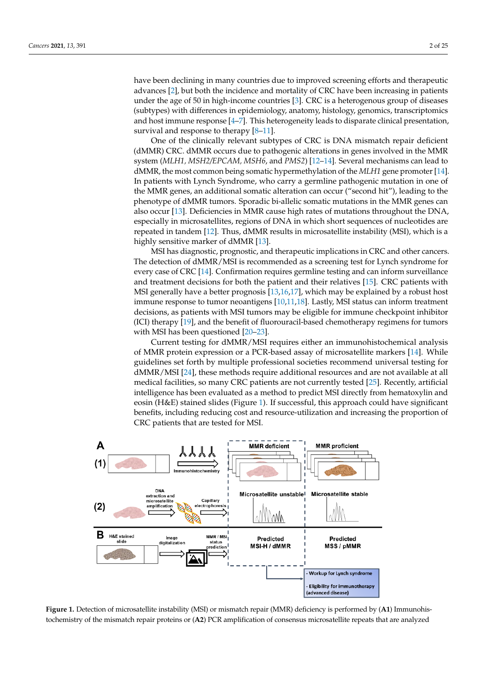have been declining in many countries due to improved screening efforts and therapeutic advances [\[2\]](#page-19-1), but both the incidence and mortality of CRC have been increasing in patients under the age of 50 in high-income countries [\[3\]](#page-19-2). CRC is a heterogenous group of diseases (subtypes) with differences in epidemiology, anatomy, histology, genomics, transcriptomics and host immune response  $[4-7]$  $[4-7]$ . This heterogeneity leads to disparate clinical presentation, survival and response to therapy [\[8](#page-20-1)[–11\]](#page-20-2).

One of the clinically relevant subtypes of CRC is DNA mismatch repair deficient (dMMR) CRC. dMMR occurs due to pathogenic alterations in genes involved in the MMR system (*MLH1, MSH2/EPCAM, MSH6*, and *PMS2*) [\[12](#page-20-3)[–14\]](#page-20-4). Several mechanisms can lead to dMMR, the most common being somatic hypermethylation of the *MLH1* gene promoter [\[14\]](#page-20-4). In patients with Lynch Syndrome, who carry a germline pathogenic mutation in one of the MMR genes, an additional somatic alteration can occur ("second hit"), leading to the phenotype of dMMR tumors. Sporadic bi-allelic somatic mutations in the MMR genes can also occur [\[13\]](#page-20-5). Deficiencies in MMR cause high rates of mutations throughout the DNA, especially in microsatellites, regions of DNA in which short sequences of nucleotides are repeated in tandem [\[12\]](#page-20-3). Thus, dMMR results in microsatellite instability (MSI), which is a highly sensitive marker of dMMR [\[13\]](#page-20-5).

MSI has diagnostic, prognostic, and therapeutic implications in CRC and other cancers. The detection of dMMR/MSI is recommended as a screening test for Lynch syndrome for every case of CRC [\[14\]](#page-20-4). Confirmation requires germline testing and can inform surveillance and treatment decisions for both the patient and their relatives [\[15\]](#page-20-6). CRC patients with MSI generally have a better prognosis [\[13,](#page-20-5)[16,](#page-20-7)[17\]](#page-20-8), which may be explained by a robust host immune response to tumor neoantigens [\[10,](#page-20-9)[11](#page-20-2)[,18\]](#page-20-10). Lastly, MSI status can inform treatment decisions, as patients with MSI tumors may be eligible for immune checkpoint inhibitor (ICI) therapy [\[19\]](#page-20-11), and the benefit of fluorouracil-based chemotherapy regimens for tumors with MSI has been questioned [\[20–](#page-20-12)[23\]](#page-20-13).

Current testing for dMMR/MSI requires either an immunohistochemical analysis of MMR protein expression or a PCR-based assay of microsatellite markers [\[14\]](#page-20-4). While guidelines set forth by multiple professional societies recommend universal testing for dMMR/MSI [\[24\]](#page-20-14), these methods require additional resources and are not available at all medical facilities, so many CRC patients are not currently tested [\[25\]](#page-20-15). Recently, artificial intelligence has been evaluated as a method to predict MSI directly from hematoxylin and eosin (H&E) stained slides (Figure [1\)](#page-1-0). If successful, this approach could have significant benefits, including reducing cost and resource-utilization and increasing the proportion of CRC patients that are tested for MSI.

<span id="page-1-0"></span>

Figure 1. Detection of microsatellite instability (MSI) or mismatch repair (MMR) deficiency is performed by (A1) Immunohismunohistochemistry of the mismatch repair proteins or (**A2**) PCR amplification of consensus microsatellite repeats that tochemistry of the mismatch repair proteins or (A2) PCR amplification of consensus microsatellite repeats that are analyzed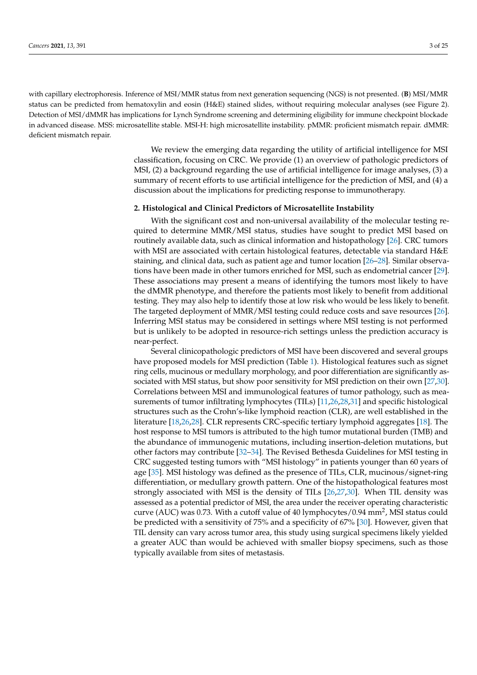with capillary electrophoresis. Inference of MSI/MMR status from next generation sequencing (NGS) is not presented. (**B**) MSI/MMR status can be predicted from hematoxylin and eosin (H&E) stained slides, without requiring molecular analyses (see Figure 2). Detection of MSI/dMMR has implications for Lynch Syndrome screening and determining eligibility for immune checkpoint blockade in advanced disease. MSS: microsatellite stable. MSI-H: high microsatellite instability. pMMR: proficient mismatch repair. dMMR: deficient mismatch repair.

> We review the emerging data regarding the utility of artificial intelligence for MSI classification, focusing on CRC. We provide (1) an overview of pathologic predictors of MSI, (2) a background regarding the use of artificial intelligence for image analyses, (3) a summary of recent efforts to use artificial intelligence for the prediction of MSI, and (4) a discussion about the implications for predicting response to immunotherapy.

#### **2. Histological and Clinical Predictors of Microsatellite Instability**

With the significant cost and non-universal availability of the molecular testing required to determine MMR/MSI status, studies have sought to predict MSI based on routinely available data, such as clinical information and histopathology [\[26\]](#page-20-16). CRC tumors with MSI are associated with certain histological features, detectable via standard H&E staining, and clinical data, such as patient age and tumor location [\[26–](#page-20-16)[28\]](#page-21-0). Similar observations have been made in other tumors enriched for MSI, such as endometrial cancer [\[29\]](#page-21-1). These associations may present a means of identifying the tumors most likely to have the dMMR phenotype, and therefore the patients most likely to benefit from additional testing. They may also help to identify those at low risk who would be less likely to benefit. The targeted deployment of MMR/MSI testing could reduce costs and save resources [\[26\]](#page-20-16). Inferring MSI status may be considered in settings where MSI testing is not performed but is unlikely to be adopted in resource-rich settings unless the prediction accuracy is near-perfect.

Several clinicopathologic predictors of MSI have been discovered and several groups have proposed models for MSI prediction (Table [1\)](#page-5-0). Histological features such as signet ring cells, mucinous or medullary morphology, and poor differentiation are significantly associated with MSI status, but show poor sensitivity for MSI prediction on their own [\[27](#page-20-17)[,30\]](#page-21-2). Correlations between MSI and immunological features of tumor pathology, such as measurements of tumor infiltrating lymphocytes (TILs) [\[11](#page-20-2)[,26,](#page-20-16)[28,](#page-21-0)[31\]](#page-21-3) and specific histological structures such as the Crohn's-like lymphoid reaction (CLR), are well established in the literature [\[18](#page-20-10)[,26](#page-20-16)[,28\]](#page-21-0). CLR represents CRC-specific tertiary lymphoid aggregates [\[18\]](#page-20-10). The host response to MSI tumors is attributed to the high tumor mutational burden (TMB) and the abundance of immunogenic mutations, including insertion-deletion mutations, but other factors may contribute [\[32](#page-21-4)[–34\]](#page-21-5). The Revised Bethesda Guidelines for MSI testing in CRC suggested testing tumors with "MSI histology" in patients younger than 60 years of age [\[35\]](#page-21-6). MSI histology was defined as the presence of TILs, CLR, mucinous/signet-ring differentiation, or medullary growth pattern. One of the histopathological features most strongly associated with MSI is the density of TILs [\[26,](#page-20-16)[27,](#page-20-17)[30\]](#page-21-2). When TIL density was assessed as a potential predictor of MSI, the area under the receiver operating characteristic curve (AUC) was 0.73. With a cutoff value of 40 lymphocytes/0.94 mm<sup>2</sup>, MSI status could be predicted with a sensitivity of 75% and a specificity of 67% [\[30\]](#page-21-2). However, given that TIL density can vary across tumor area, this study using surgical specimens likely yielded a greater AUC than would be achieved with smaller biopsy specimens, such as those typically available from sites of metastasis.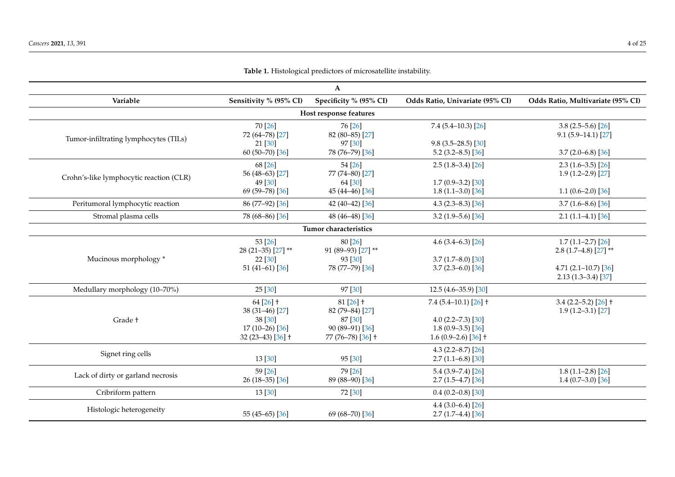| $\mathbf{A}$                            |                                                  |                                                 |                                                                        |                                                      |
|-----------------------------------------|--------------------------------------------------|-------------------------------------------------|------------------------------------------------------------------------|------------------------------------------------------|
| Variable                                | Sensitivity % (95% CI)                           | Specificity % (95% CI)                          | Odds Ratio, Univariate (95% CI)                                        | Odds Ratio, Multivariate (95% CI)                    |
|                                         |                                                  | Host response features                          |                                                                        |                                                      |
| Tumor-infiltrating lymphocytes (TILs)   | 70 [26]<br>72 (64-78) [27]                       | 76 [26]<br>82 (80-85) [27]                      | $7.4(5.4-10.3)[26]$                                                    | $3.8(2.5-5.6)[26]$<br>$9.1(5.9-14.1)[27]$            |
|                                         | 21 [30]<br>60 $(50 - 70)$ [36]                   | 97 [30]<br>78 (76-79) [36]                      | $9.8(3.5-28.5)[30]$<br>$5.2(3.2 - 8.5)$ [36]                           | $3.7(2.0-6.8)[36]$                                   |
| Crohn's-like lymphocytic reaction (CLR) | 68 [26]<br>56 (48-63) [27]                       | 54 [26]<br>77 (74-80) [27]                      | $2.5(1.8-3.4)[26]$                                                     | $2.3(1.6-3.5)[26]$<br>$1.9(1.2-2.9)$ [27]            |
|                                         | 49 [30]<br>69 (59-78) [36]                       | 64 [30]<br>45 (44-46) [36]                      | $1.7(0.9-3.2)[30]$<br>$1.8(1.1-3.0)[36]$                               | $1.1(0.6-2.0)[36]$                                   |
| Peritumoral lymphocytic reaction        | 86 (77-92) [36]                                  | 42 (40-42) [36]                                 | 4.3 $(2.3 - 8.3)$ [36]                                                 | $3.7(1.6 - 8.6)[36]$                                 |
| Stromal plasma cells                    | 78 (68-86) [36]                                  | 48 (46-48) [36]                                 | $3.2(1.9-5.6)[36]$                                                     | $2.1(1.1-4.1)[36]$                                   |
|                                         |                                                  | Tumor characteristics                           |                                                                        |                                                      |
|                                         | 53 [26]<br>28 (21-35) [27] **                    | 80 [26]<br>91 (89-93) [27] **                   | 4.6 $(3.4-6.3)$ [26]                                                   | $1.7(1.1-2.7)[26]$<br>2.8 $(1.7-4.8)$ [27] **        |
| Mucinous morphology*                    | 22 [30]<br>$51(41-61)[36]$                       | 93 [30]<br>78 (77-79) [36]                      | $3.7(1.7 - 8.0)$ [30]<br>$3.7(2.3 - 6.0)$ [36]                         | 4.71 $(2.1-10.7)$ $[36]$<br>$2.13(1.3-3.4)[37]$      |
| Medullary morphology (10-70%)           | 25 [30]                                          | 97 [30]                                         | $12.5(4.6-35.9)$ [30]                                                  |                                                      |
| Grade +                                 | $64 [26]$ †<br>38 (31-46) [27]                   | $81$ [26] $\dagger$<br>82 (79-84) [27]          | $7.4(5.4-10.1)[26]$ †                                                  | $3.4$ (2.2–5.2) [26] $\dagger$<br>$1.9(1.2-3.1)[27]$ |
|                                         | 38 [30]<br>$17(10-26)$ [36]<br>$32(23-43)[36]$ + | 87 [30]<br>90 (89-91) [36]<br>77 (76-78) [36] + | 4.0 $(2.2 - 7.3)$ [30]<br>$1.8(0.9-3.5)[36]$<br>1.6 $(0.9-2.6)$ [36] + |                                                      |
| Signet ring cells                       | 13[30]                                           | 95 [30]                                         | 4.3 $(2.2 - 8.7)$ [26]<br>$2.7(1.1-6.8)[30]$                           |                                                      |
| Lack of dirty or garland necrosis       | 59[26]<br>$26(18-35)$ [36]                       | 79 [26]<br>89 (88-90) [36]                      | $5.4(3.9 - 7.4)[26]$<br>$2.7(1.5-4.7)[36]$                             | $1.8(1.1-2.8)[26]$<br>$1.4(0.7-3.0)[36]$             |
| Cribriform pattern                      | 13[30]                                           | 72 [30]                                         | $0.4(0.2-0.8)[30]$                                                     |                                                      |
| Histologic heterogeneity                | 55 (45-65) [36]                                  | 69 (68-70) [36]                                 | 4.4 $(3.0-6.4)$ [26]<br>$2.7(1.7-4.4)[36]$                             |                                                      |

**Table 1.** Histological predictors of microsatellite instability.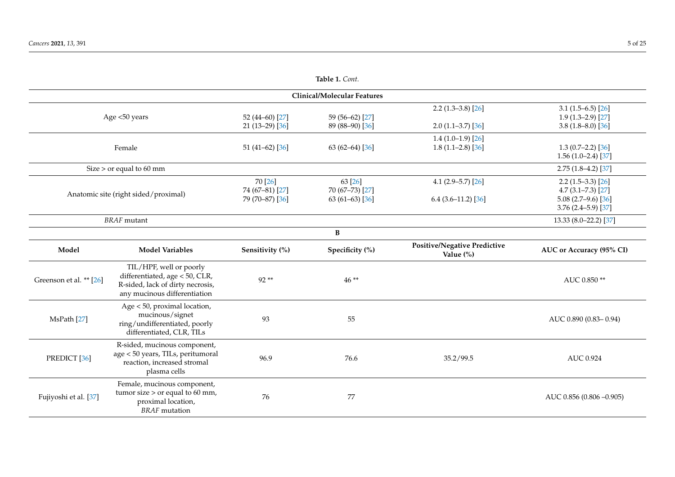| Table 1. Cont.                     |                                                                                                                               |                                               |                                                 |                                                 |                                                                                          |
|------------------------------------|-------------------------------------------------------------------------------------------------------------------------------|-----------------------------------------------|-------------------------------------------------|-------------------------------------------------|------------------------------------------------------------------------------------------|
| <b>Clinical/Molecular Features</b> |                                                                                                                               |                                               |                                                 |                                                 |                                                                                          |
|                                    | Age <50 years                                                                                                                 | 52 (44-60) [27]<br>$21(13-29)[36]$            | 59 (56-62) [27]<br>89 (88-90) [36]              | $2.2(1.3-3.8)[26]$<br>$2.0(1.1-3.7)[36]$        | $3.1(1.5-6.5)[26]$<br>$1.9(1.3-2.9)[27]$<br>$3.8(1.8 - 8.0)[36]$                         |
|                                    | Female                                                                                                                        | $51(41-62)[36]$                               | 63 $(62-64)$ [36]                               | $1.4(1.0-1.9)$ [26]<br>$1.8(1.1-2.8)[36]$       | $1.3(0.7-2.2)[36]$<br>$1.56(1.0-2.4)[37]$                                                |
|                                    | Size $>$ or equal to 60 mm                                                                                                    |                                               |                                                 |                                                 | $2.75(1.8-4.2)[37]$                                                                      |
|                                    | Anatomic site (right sided/proximal)                                                                                          | 70 [26]<br>74 (67-81) [27]<br>79 (70-87) [36] | 63 [26]<br>70 (67-73) [27]<br>63 $(61-63)$ [36] | 4.1 $(2.9-5.7)$ $[26]$<br>$6.4$ (3.6-11.2) [36] | $2.2(1.5-3.3)[26]$<br>$4.7(3.1 - 7.3)[27]$<br>$5.08(2.7-9.6)[36]$<br>$3.76(2.4-5.9)[37]$ |
|                                    | <b>BRAF</b> mutant                                                                                                            |                                               |                                                 |                                                 | 13.33 (8.0-22.2) [37]                                                                    |
|                                    |                                                                                                                               |                                               | B                                               |                                                 |                                                                                          |
| Model                              | <b>Model Variables</b>                                                                                                        | Sensitivity (%)                               | Specificity (%)                                 | Positive/Negative Predictive<br>Value (%)       | AUC or Accuracy (95% CI)                                                                 |
| Greenson et al. ** [26]            | TIL/HPF, well or poorly<br>differentiated, age < 50, CLR,<br>R-sided, lack of dirty necrosis,<br>any mucinous differentiation | $92**$                                        | $46**$                                          |                                                 | AUC 0.850**                                                                              |
| MsPath [27]                        | Age < 50, proximal location,<br>mucinous/signet<br>ring/undifferentiated, poorly<br>differentiated, CLR, TILs                 | 93                                            | 55                                              |                                                 | AUC 0.890 (0.83-0.94)                                                                    |
| PREDICT <sup>[36]</sup>            | R-sided, mucinous component,<br>age < 50 years, TILs, peritumoral<br>reaction, increased stromal<br>plasma cells              | 96.9                                          | 76.6                                            | 35.2/99.5                                       | <b>AUC 0.924</b>                                                                         |
| Fujiyoshi et al. [37]              | Female, mucinous component,<br>tumor size $>$ or equal to 60 mm,<br>proximal location,<br><b>BRAF</b> mutation                | 76                                            | 77                                              |                                                 | AUC 0.856 (0.806 -0.905)                                                                 |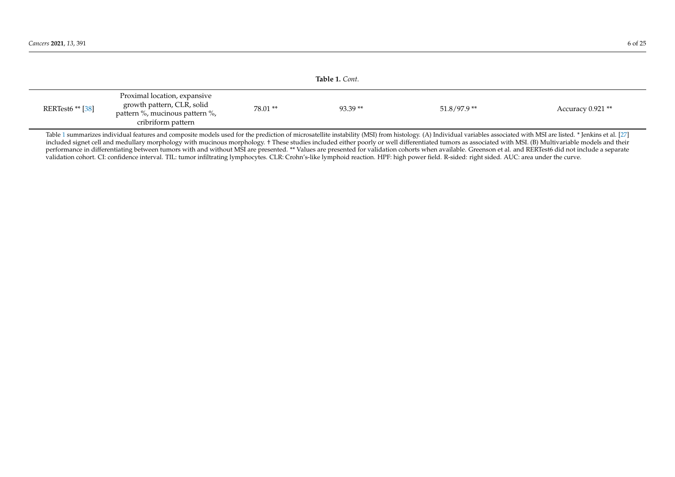<span id="page-5-1"></span>

|                  |                                                                                                                    |         | Table 1. Cont. |               |                  |
|------------------|--------------------------------------------------------------------------------------------------------------------|---------|----------------|---------------|------------------|
| RERTest6 ** [38] | Proximal location, expansive<br>growth pattern, CLR, solid<br>pattern %, mucinous pattern %,<br>cribriform pattern | 78.01** | $93.39**$      | $51.8/97.9**$ | Accuracy 0.921** |

<span id="page-5-0"></span>Table [1](#page-5-1) summarizes individual features and composite models used for the prediction of microsatellite instability (MSI) from histology. (A) Individual variables associated with MSI are listed. \* Jenkins et al. [\[27\]](#page-20-19) included signet cell and medullary morphology with mucinous morphology. † These studies included either poorly or well differentiated tumors as associated with MSI. (B) Multivariable models and their performance in differentiating between tumors with and without MSI are presented. \*\* Values are presented for validation cohorts when available. Greenson et al. and RERTest6 did not include a separate validation cohort. CI: confidence interval. TIL: tumor infiltrating lymphocytes. CLR: Crohn's-like lymphoid reaction. HPF: high power field. R-sided: right sided. AUC: area under the curve.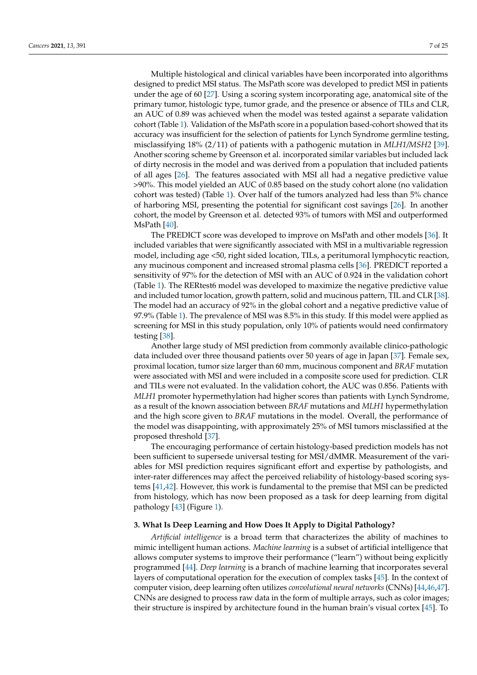Multiple histological and clinical variables have been incorporated into algorithms designed to predict MSI status. The MsPath score was developed to predict MSI in patients under the age of 60 [\[27\]](#page-20-17). Using a scoring system incorporating age, anatomical site of the primary tumor, histologic type, tumor grade, and the presence or absence of TILs and CLR, an AUC of 0.89 was achieved when the model was tested against a separate validation cohort (Table [1\)](#page-5-0). Validation of the MsPath score in a population based-cohort showed that its accuracy was insufficient for the selection of patients for Lynch Syndrome germline testing, misclassifying 18% (2/11) of patients with a pathogenic mutation in *MLH1/MSH2* [\[39\]](#page-21-11). Another scoring scheme by Greenson et al. incorporated similar variables but included lack of dirty necrosis in the model and was derived from a population that included patients of all ages [\[26\]](#page-20-16). The features associated with MSI all had a negative predictive value >90%. This model yielded an AUC of 0.85 based on the study cohort alone (no validation cohort was tested) (Table [1\)](#page-5-0). Over half of the tumors analyzed had less than 5% chance of harboring MSI, presenting the potential for significant cost savings [\[26\]](#page-20-16). In another cohort, the model by Greenson et al. detected 93% of tumors with MSI and outperformed MsPath [\[40\]](#page-21-12).

The PREDICT score was developed to improve on MsPath and other models [\[36\]](#page-21-13). It included variables that were significantly associated with MSI in a multivariable regression model, including age <50, right sided location, TILs, a peritumoral lymphocytic reaction, any mucinous component and increased stromal plasma cells [\[36\]](#page-21-13). PREDICT reported a sensitivity of 97% for the detection of MSI with an AUC of 0.924 in the validation cohort (Table [1\)](#page-5-0). The RERtest6 model was developed to maximize the negative predictive value and included tumor location, growth pattern, solid and mucinous pattern, TIL and CLR [\[38\]](#page-21-14). The model had an accuracy of 92% in the global cohort and a negative predictive value of 97.9% (Table [1\)](#page-5-0). The prevalence of MSI was 8.5% in this study. If this model were applied as screening for MSI in this study population, only 10% of patients would need confirmatory testing [\[38\]](#page-21-14).

Another large study of MSI prediction from commonly available clinico-pathologic data included over three thousand patients over 50 years of age in Japan [\[37\]](#page-21-15). Female sex, proximal location, tumor size larger than 60 mm, mucinous component and *BRAF* mutation were associated with MSI and were included in a composite score used for prediction. CLR and TILs were not evaluated. In the validation cohort, the AUC was 0.856. Patients with *MLH1* promoter hypermethylation had higher scores than patients with Lynch Syndrome, as a result of the known association between *BRAF* mutations and *MLH1* hypermethylation and the high score given to *BRAF* mutations in the model. Overall, the performance of the model was disappointing, with approximately 25% of MSI tumors misclassified at the proposed threshold [\[37\]](#page-21-15).

The encouraging performance of certain histology-based prediction models has not been sufficient to supersede universal testing for MSI/dMMR. Measurement of the variables for MSI prediction requires significant effort and expertise by pathologists, and inter-rater differences may affect the perceived reliability of histology-based scoring systems [\[41](#page-21-16)[,42\]](#page-21-17). However, this work is fundamental to the premise that MSI can be predicted from histology, which has now been proposed as a task for deep learning from digital pathology [\[43\]](#page-21-18) (Figure [1\)](#page-1-0).

## **3. What Is Deep Learning and How Does It Apply to Digital Pathology?**

*Artificial intelligence* is a broad term that characterizes the ability of machines to mimic intelligent human actions. *Machine learning* is a subset of artificial intelligence that allows computer systems to improve their performance ("learn") without being explicitly programmed [\[44\]](#page-21-19). *Deep learning* is a branch of machine learning that incorporates several layers of computational operation for the execution of complex tasks [\[45\]](#page-21-20). In the context of computer vision, deep learning often utilizes *convolutional neural networks* (CNNs) [\[44,](#page-21-19)[46](#page-21-21)[,47\]](#page-21-22). CNNs are designed to process raw data in the form of multiple arrays, such as color images; their structure is inspired by architecture found in the human brain's visual cortex [\[45\]](#page-21-20). To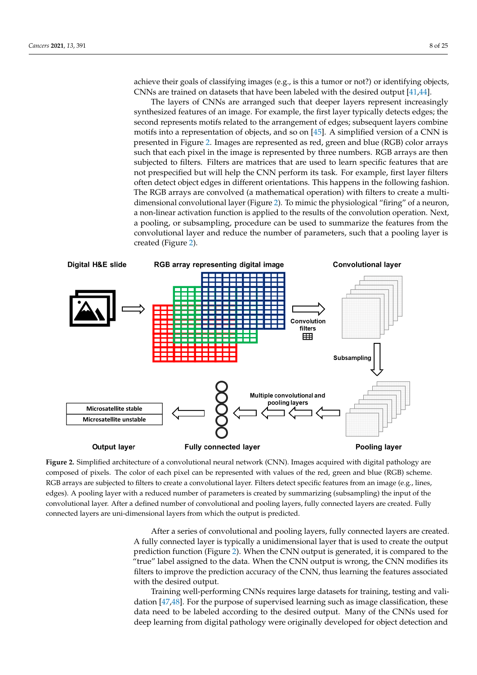achieve their goals of classifying images (e.g., is this a tumor or not?) or identifying objects, CNNs are trained on datasets that have been labeled with the desired output [\[41](#page-21-16)[,44\]](#page-21-19).

> The layers of CNNs are arranged such that deeper layers represent increasingly synthesized features of an image. For example, the first layer typically detects edges; the second represents motifs related to the arrangement of edges; subsequent layers combine motifs into a representation of objects, and so on [\[45\]](#page-21-20). A simplified version of a CNN is presented in Figure [2.](#page-7-0) Images are represented as red, green and blue (RGB) color arrays a<br>such that each pixel in the image is represented by three numbers. RGB arrays are then subjected to filters. Filters are matrices that are used to learn specific features that are not prespecified but will help the CNN perform its task. For example, first layer filters often detect object edges in different orientations. This happens in the following fashion. The RGB arrays are convolved (a mathematical operation) with filters to create a multi-dimensional convolutional layer (Figure [2\)](#page-7-0). To mimic the physiological "firing" of a neuron, a non-linear activation function is applied to the results of the convolution operation. Next, a pooling, or subsampling, procedure can be used to summarize the features from the convolutional layer and reduce the number of parameters, such that a pooling layer is created (Figure 2).

<span id="page-7-0"></span>

Figure 2. Simplified architecture of a convolutional neural network (CNN). Images acquired with digital pathology are composed of pixels. The color of each pixel can be represented with values of the red, green and blue (RGB) scheme. RGB arrays are subjected to filters to create a convolutional layer. Filters detect specific features from an image (e.g., lines, edges). A pooling layer with a reduced number of parameters is created by summarizing (subsampling) the input of the convolutional layer. After a defined number of convolutional and pooling layers, fully connected layers are created. Fully connected layers are uni-dimensional layers from which the output is predicted.

> After a series of convolutional and pooling layers, fully connected layers are created. ed. A fully connected layer is typically a unidimensional layer that is used to create the A fully connected layer is typically a unidimensional layer that is used to create the output prediction functio[n \(](#page-7-0)Figure 2). When the CNN output is generated, it is compared to the "true" label assigned to the data. When the CNN output is wrong, the CNN modifies its filters to improve the prediction accuracy of the CNN, thus learning the features associated with the desired output.

> Training well-performing CNNs requires large datasets for training, testing and Training well-performing CNNs requires large datasets for training, testing and vali-dation [\[47](#page-21-22)[,48\]](#page-21-23). For the purpose of supervised learning such as image classification, these data need to be labeled according to the desired output. Many of the CNNs used for for deep learning from digital pathology were originally developed for object detection deep learning from digital pathology were originally developed for object detection and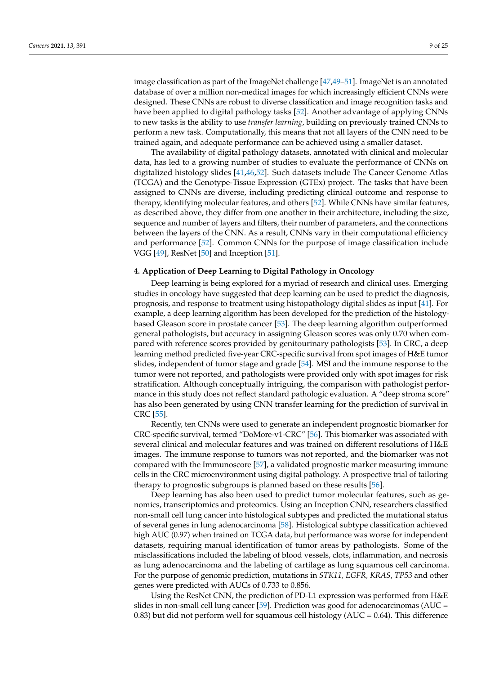image classification as part of the ImageNet challenge [\[47](#page-21-22)[,49](#page-21-24)[–51\]](#page-21-25). ImageNet is an annotated database of over a million non-medical images for which increasingly efficient CNNs were designed. These CNNs are robust to diverse classification and image recognition tasks and have been applied to digital pathology tasks [\[52\]](#page-22-0). Another advantage of applying CNNs to new tasks is the ability to use *transfer learning*, building on previously trained CNNs to perform a new task. Computationally, this means that not all layers of the CNN need to be trained again, and adequate performance can be achieved using a smaller dataset.

The availability of digital pathology datasets, annotated with clinical and molecular data, has led to a growing number of studies to evaluate the performance of CNNs on digitalized histology slides [\[41](#page-21-16)[,46](#page-21-21)[,52\]](#page-22-0). Such datasets include The Cancer Genome Atlas (TCGA) and the Genotype-Tissue Expression (GTEx) project. The tasks that have been assigned to CNNs are diverse, including predicting clinical outcome and response to therapy, identifying molecular features, and others [\[52\]](#page-22-0). While CNNs have similar features, as described above, they differ from one another in their architecture, including the size, sequence and number of layers and filters, their number of parameters, and the connections between the layers of the CNN. As a result, CNNs vary in their computational efficiency and performance [\[52\]](#page-22-0). Common CNNs for the purpose of image classification include VGG [\[49\]](#page-21-24), ResNet [\[50\]](#page-21-26) and Inception [\[51\]](#page-21-25).

## **4. Application of Deep Learning to Digital Pathology in Oncology**

Deep learning is being explored for a myriad of research and clinical uses. Emerging studies in oncology have suggested that deep learning can be used to predict the diagnosis, prognosis, and response to treatment using histopathology digital slides as input [\[41\]](#page-21-16). For example, a deep learning algorithm has been developed for the prediction of the histologybased Gleason score in prostate cancer [\[53\]](#page-22-1). The deep learning algorithm outperformed general pathologists, but accuracy in assigning Gleason scores was only 0.70 when compared with reference scores provided by genitourinary pathologists [\[53\]](#page-22-1). In CRC, a deep learning method predicted five-year CRC-specific survival from spot images of H&E tumor slides, independent of tumor stage and grade [\[54\]](#page-22-2). MSI and the immune response to the tumor were not reported, and pathologists were provided only with spot images for risk stratification. Although conceptually intriguing, the comparison with pathologist performance in this study does not reflect standard pathologic evaluation. A "deep stroma score" has also been generated by using CNN transfer learning for the prediction of survival in CRC [\[55\]](#page-22-3).

Recently, ten CNNs were used to generate an independent prognostic biomarker for CRC-specific survival, termed "DoMore-v1-CRC" [\[56\]](#page-22-4). This biomarker was associated with several clinical and molecular features and was trained on different resolutions of H&E images. The immune response to tumors was not reported, and the biomarker was not compared with the Immunoscore [\[57\]](#page-22-5), a validated prognostic marker measuring immune cells in the CRC microenvironment using digital pathology. A prospective trial of tailoring therapy to prognostic subgroups is planned based on these results [\[56\]](#page-22-4).

Deep learning has also been used to predict tumor molecular features, such as genomics, transcriptomics and proteomics. Using an Inception CNN, researchers classified non-small cell lung cancer into histological subtypes and predicted the mutational status of several genes in lung adenocarcinoma [\[58\]](#page-22-6). Histological subtype classification achieved high AUC (0.97) when trained on TCGA data, but performance was worse for independent datasets, requiring manual identification of tumor areas by pathologists. Some of the misclassifications included the labeling of blood vessels, clots, inflammation, and necrosis as lung adenocarcinoma and the labeling of cartilage as lung squamous cell carcinoma. For the purpose of genomic prediction, mutations in *STK11, EGFR, KRAS*, *TP53* and other genes were predicted with AUCs of 0.733 to 0.856.

Using the ResNet CNN, the prediction of PD-L1 expression was performed from H&E slides in non-small cell lung cancer [\[59\]](#page-22-7). Prediction was good for adenocarcinomas (AUC = 0.83) but did not perform well for squamous cell histology ( $AUC = 0.64$ ). This difference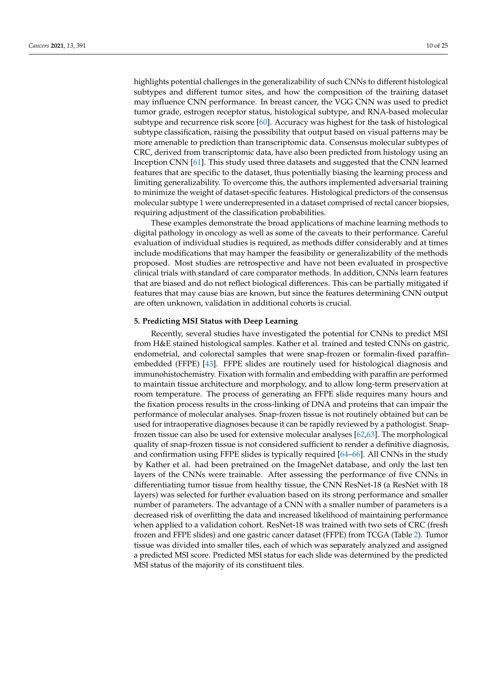highlights potential challenges in the generalizability of such CNNs to different histological subtypes and different tumor sites, and how the composition of the training dataset may influence CNN performance. In breast cancer, the VGG CNN was used to predict tumor grade, estrogen receptor status, histological subtype, and RNA-based molecular subtype and recurrence risk score [\[60\]](#page-22-8). Accuracy was highest for the task of histological subtype classification, raising the possibility that output based on visual patterns may be more amenable to prediction than transcriptomic data. Consensus molecular subtypes of CRC, derived from transcriptomic data, have also been predicted from histology using an Inception CNN [\[61\]](#page-22-9). This study used three datasets and suggested that the CNN learned features that are specific to the dataset, thus potentially biasing the learning process and limiting generalizability. To overcome this, the authors implemented adversarial training to minimize the weight of dataset-specific features. Histological predictors of the consensus molecular subtype 1 were underrepresented in a dataset comprised of rectal cancer biopsies, requiring adjustment of the classification probabilities.

These examples demonstrate the broad applications of machine learning methods to digital pathology in oncology as well as some of the caveats to their performance. Careful evaluation of individual studies is required, as methods differ considerably and at times include modifications that may hamper the feasibility or generalizability of the methods proposed. Most studies are retrospective and have not been evaluated in prospective clinical trials with standard of care comparator methods. In addition, CNNs learn features that are biased and do not reflect biological differences. This can be partially mitigated if features that may cause bias are known, but since the features determining CNN output are often unknown, validation in additional cohorts is crucial.

# **5. Predicting MSI Status with Deep Learning**

Recently, several studies have investigated the potential for CNNs to predict MSI from H&E stained histological samples. Kather et al. trained and tested CNNs on gastric, endometrial, and colorectal samples that were snap-frozen or formalin-fixed paraffinembedded (FFPE) [\[43\]](#page-21-18). FFPE slides are routinely used for histological diagnosis and immunohistochemistry. Fixation with formalin and embedding with paraffin are performed to maintain tissue architecture and morphology, and to allow long-term preservation at room temperature. The process of generating an FFPE slide requires many hours and the fixation process results in the cross-linking of DNA and proteins that can impair the performance of molecular analyses. Snap-frozen tissue is not routinely obtained but can be used for intraoperative diagnoses because it can be rapidly reviewed by a pathologist. Snapfrozen tissue can also be used for extensive molecular analyses [\[62](#page-22-10)[,63\]](#page-22-11). The morphological quality of snap-frozen tissue is not considered sufficient to render a definitive diagnosis, and confirmation using FFPE slides is typically required [\[64–](#page-22-12)[66\]](#page-22-13). All CNNs in the study by Kather et al. had been pretrained on the ImageNet database, and only the last ten layers of the CNNs were trainable. After assessing the performance of five CNNs in differentiating tumor tissue from healthy tissue, the CNN ResNet-18 (a ResNet with 18 layers) was selected for further evaluation based on its strong performance and smaller number of parameters. The advantage of a CNN with a smaller number of parameters is a decreased risk of overfitting the data and increased likelihood of maintaining performance when applied to a validation cohort. ResNet-18 was trained with two sets of CRC (fresh frozen and FFPE slides) and one gastric cancer dataset (FFPE) from TCGA (Table [2\)](#page-11-0). Tumor tissue was divided into smaller tiles, each of which was separately analyzed and assigned a predicted MSI score. Predicted MSI status for each slide was determined by the predicted MSI status of the majority of its constituent tiles.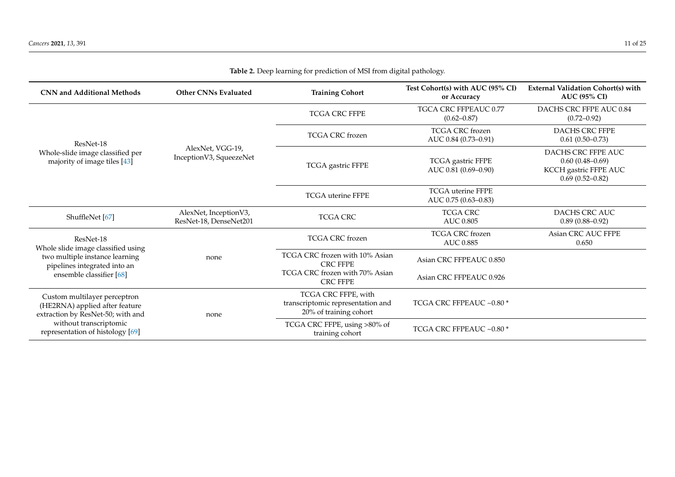| <b>CNN and Additional Methods</b>                                                                                                             | <b>Other CNNs Evaluated</b>                     | <b>Training Cohort</b>                                                             | Test Cohort(s) with AUC (95% CI)<br>or Accuracy  | <b>External Validation Cohort(s) with</b><br><b>AUC (95% CI)</b>                          |
|-----------------------------------------------------------------------------------------------------------------------------------------------|-------------------------------------------------|------------------------------------------------------------------------------------|--------------------------------------------------|-------------------------------------------------------------------------------------------|
| ResNet-18<br>Whole-slide image classified per<br>majority of image tiles [43]                                                                 | AlexNet, VGG-19,<br>InceptionV3, SqueezeNet     | TCGA CRC FFPE                                                                      | TGCA CRC FFPEAUC 0.77<br>$(0.62 - 0.87)$         | DACHS CRC FFPE AUC 0.84<br>$(0.72 - 0.92)$                                                |
|                                                                                                                                               |                                                 | <b>TCGA CRC</b> frozen                                                             | <b>TCGA CRC</b> frozen<br>AUC 0.84 (0.73-0.91)   | <b>DACHS CRC FFPE</b><br>$0.61(0.50-0.73)$                                                |
|                                                                                                                                               |                                                 | TCGA gastric FFPE                                                                  | TCGA gastric FFPE<br>AUC 0.81 (0.69-0.90)        | DACHS CRC FFPE AUC<br>$0.60(0.48 - 0.69)$<br>KCCH gastric FFPE AUC<br>$0.69(0.52 - 0.82)$ |
|                                                                                                                                               |                                                 | <b>TCGA</b> uterine FFPE                                                           | <b>TCGA</b> uterine FFPE<br>AUC 0.75 (0.63-0.83) |                                                                                           |
| ShuffleNet [67]                                                                                                                               | AlexNet, InceptionV3,<br>ResNet-18, DenseNet201 | <b>TCGA CRC</b>                                                                    | <b>TCGA CRC</b><br>AUC 0.805                     | DACHS CRC AUC<br>$0.89(0.88 - 0.92)$                                                      |
| ResNet-18<br>Whole slide image classified using<br>two multiple instance learning<br>pipelines integrated into an<br>ensemble classifier [68] | none                                            | <b>TCGA CRC</b> frozen                                                             | <b>TCGA CRC</b> frozen<br>AUC 0.885              | Asian CRC AUC FFPE<br>0.650                                                               |
|                                                                                                                                               |                                                 | TCGA CRC frozen with 10% Asian<br><b>CRC FFPE</b>                                  | Asian CRC FFPEAUC 0.850                          |                                                                                           |
|                                                                                                                                               |                                                 | TCGA CRC frozen with 70% Asian<br><b>CRC FFPE</b>                                  | Asian CRC FFPEAUC 0.926                          |                                                                                           |
| Custom multilayer perceptron<br>(HE2RNA) applied after feature<br>extraction by ResNet-50; with and                                           | none                                            | TCGA CRC FFPE, with<br>transcriptomic representation and<br>20% of training cohort | TCGA CRC FFPEAUC ~0.80 *                         |                                                                                           |
| without transcriptomic<br>representation of histology [69]                                                                                    |                                                 | TCGA CRC FFPE, using >80% of<br>training cohort                                    | TCGA CRC FFPEAUC ~0.80 *                         |                                                                                           |

# **Table 2.** Deep learning for prediction of MSI from digital pathology.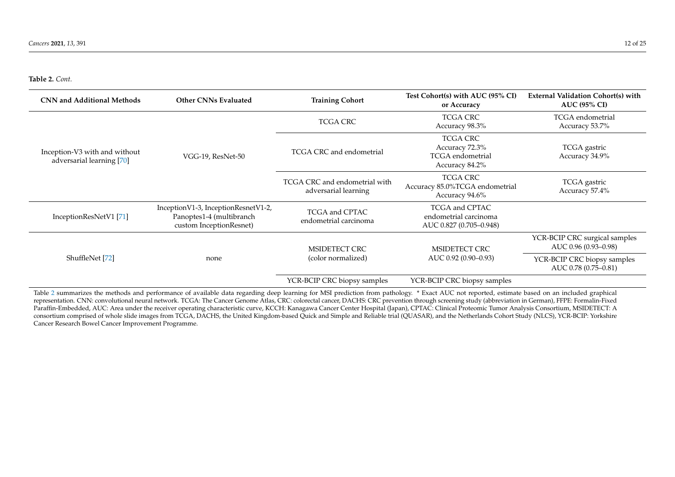<span id="page-11-1"></span>**Table 2.** *Cont.*

| <b>CNN and Additional Methods</b>                          | <b>Other CNNs Evaluated</b>                                                                | <b>Training Cohort</b>                                | Test Cohort(s) with AUC (95% CI)<br>or Accuracy                                | <b>External Validation Cohort(s) with</b><br><b>AUC (95% CI)</b> |
|------------------------------------------------------------|--------------------------------------------------------------------------------------------|-------------------------------------------------------|--------------------------------------------------------------------------------|------------------------------------------------------------------|
| Inception-V3 with and without<br>adversarial learning [70] | VGG-19, ResNet-50                                                                          | TCGA CRC                                              | <b>TCGA CRC</b><br>Accuracy 98.3%                                              | TCGA endometrial<br>Accuracy 53.7%                               |
|                                                            |                                                                                            | TCGA CRC and endometrial                              | <b>TCGA CRC</b><br>Accuracy 72.3%<br><b>TCGA</b> endometrial<br>Accuracy 84.2% | TCGA gastric<br>Accuracy 34.9%                                   |
|                                                            |                                                                                            | TCGA CRC and endometrial with<br>adversarial learning | <b>TCGA CRC</b><br>Accuracy 85.0%TCGA endometrial<br>Accuracy 94.6%            | TCGA gastric<br>Accuracy 57.4%                                   |
| InceptionResNetV1 [71]                                     | InceptionV1-3, InceptionResnetV1-2,<br>Panoptes1-4 (multibranch<br>custom InceptionResnet) | TCGA and CPTAC<br>endometrial carcinoma               | <b>TCGA and CPTAC</b><br>endometrial carcinoma<br>AUC 0.827 (0.705-0.948)      |                                                                  |
|                                                            | none                                                                                       | MSIDETECT CRC<br>(color normalized)                   | MSIDETECT CRC<br>AUC 0.92 (0.90–0.93)                                          | YCR-BCIP CRC surgical samples<br>AUC 0.96 (0.93-0.98)            |
| ShuffleNet [72]                                            |                                                                                            |                                                       |                                                                                | YCR-BCIP CRC biopsy samples<br>AUC 0.78 (0.75-0.81)              |
|                                                            |                                                                                            | YCR-BCIP CRC biopsy samples                           | YCR-BCIP CRC biopsy samples                                                    |                                                                  |

<span id="page-11-0"></span>Table [2](#page-11-1) summarizes the methods and performance of available data regarding deep learning for MSI prediction from pathology. \* Exact AUC not reported, estimate based on an included graphical representation. CNN: convolutional neural network. TCGA: The Cancer Genome Atlas, CRC: colorectal cancer, DACHS: CRC prevention through screening study (abbreviation in German), FFPE: Formalin-Fixed Paraffin-Embedded, AUC: Area under the receiver operating characteristic curve, KCCH: Kanagawa Cancer Center Hospital (Japan), CPTAC: Clinical Proteomic Tumor Analysis Consortium, MSIDETECT: A consortium comprised of whole slide images from TCGA, DACHS, the United Kingdom-based Quick and Simple and Reliable trial (QUASAR), and the Netherlands Cohort Study (NLCS), YCR-BCIP: Yorkshire Cancer Research Bowel Cancer Improvement Programme.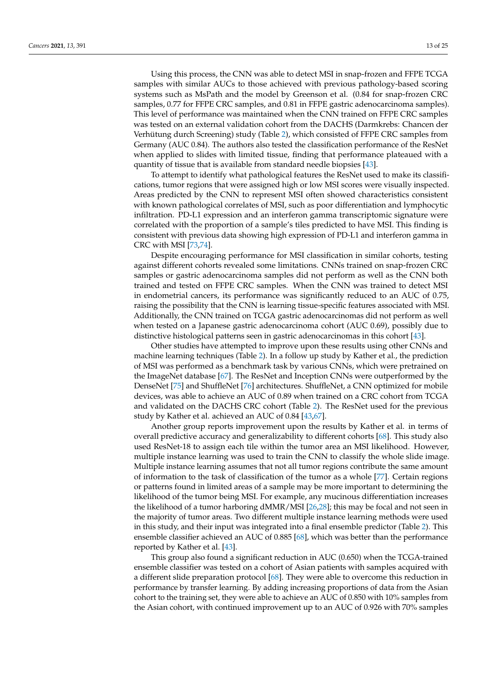Using this process, the CNN was able to detect MSI in snap-frozen and FFPE TCGA samples with similar AUCs to those achieved with previous pathology-based scoring systems such as MsPath and the model by Greenson et al. (0.84 for snap-frozen CRC samples, 0.77 for FFPE CRC samples, and 0.81 in FFPE gastric adenocarcinoma samples). This level of performance was maintained when the CNN trained on FFPE CRC samples was tested on an external validation cohort from the DACHS (Darmkrebs: Chancen der Verhütung durch Screening) study (Table [2\)](#page-11-0), which consisted of FFPE CRC samples from Germany (AUC 0.84). The authors also tested the classification performance of the ResNet when applied to slides with limited tissue, finding that performance plateaued with a quantity of tissue that is available from standard needle biopsies [\[43\]](#page-21-18).

To attempt to identify what pathological features the ResNet used to make its classifications, tumor regions that were assigned high or low MSI scores were visually inspected. Areas predicted by the CNN to represent MSI often showed characteristics consistent with known pathological correlates of MSI, such as poor differentiation and lymphocytic infiltration. PD-L1 expression and an interferon gamma transcriptomic signature were correlated with the proportion of a sample's tiles predicted to have MSI. This finding is consistent with previous data showing high expression of PD-L1 and interferon gamma in CRC with MSI [\[73,](#page-23-0)[74\]](#page-23-1).

Despite encouraging performance for MSI classification in similar cohorts, testing against different cohorts revealed some limitations. CNNs trained on snap-frozen CRC samples or gastric adenocarcinoma samples did not perform as well as the CNN both trained and tested on FFPE CRC samples. When the CNN was trained to detect MSI in endometrial cancers, its performance was significantly reduced to an AUC of 0.75, raising the possibility that the CNN is learning tissue-specific features associated with MSI. Additionally, the CNN trained on TCGA gastric adenocarcinomas did not perform as well when tested on a Japanese gastric adenocarcinoma cohort (AUC 0.69), possibly due to distinctive histological patterns seen in gastric adenocarcinomas in this cohort [\[43\]](#page-21-18).

Other studies have attempted to improve upon these results using other CNNs and machine learning techniques (Table [2\)](#page-11-0). In a follow up study by Kather et al., the prediction of MSI was performed as a benchmark task by various CNNs, which were pretrained on the ImageNet database [\[67\]](#page-22-20). The ResNet and Inception CNNs were outperformed by the DenseNet [\[75\]](#page-23-2) and ShuffleNet [\[76\]](#page-23-3) architectures. ShuffleNet, a CNN optimized for mobile devices, was able to achieve an AUC of 0.89 when trained on a CRC cohort from TCGA and validated on the DACHS CRC cohort (Table [2\)](#page-11-0). The ResNet used for the previous study by Kather et al. achieved an AUC of 0.84 [\[43](#page-21-18)[,67\]](#page-22-20).

Another group reports improvement upon the results by Kather et al. in terms of overall predictive accuracy and generalizability to different cohorts [\[68\]](#page-22-21). This study also used ResNet-18 to assign each tile within the tumor area an MSI likelihood. However, multiple instance learning was used to train the CNN to classify the whole slide image. Multiple instance learning assumes that not all tumor regions contribute the same amount of information to the task of classification of the tumor as a whole [\[77\]](#page-23-4). Certain regions or patterns found in limited areas of a sample may be more important to determining the likelihood of the tumor being MSI. For example, any mucinous differentiation increases the likelihood of a tumor harboring dMMR/MSI [\[26,](#page-20-16)[28\]](#page-21-0); this may be focal and not seen in the majority of tumor areas. Two different multiple instance learning methods were used in this study, and their input was integrated into a final ensemble predictor (Table [2\)](#page-11-0). This ensemble classifier achieved an AUC of 0.885 [\[68\]](#page-22-21), which was better than the performance reported by Kather et al. [\[43\]](#page-21-18).

This group also found a significant reduction in AUC (0.650) when the TCGA-trained ensemble classifier was tested on a cohort of Asian patients with samples acquired with a different slide preparation protocol [\[68\]](#page-22-21). They were able to overcome this reduction in performance by transfer learning. By adding increasing proportions of data from the Asian cohort to the training set, they were able to achieve an AUC of 0.850 with 10% samples from the Asian cohort, with continued improvement up to an AUC of 0.926 with 70% samples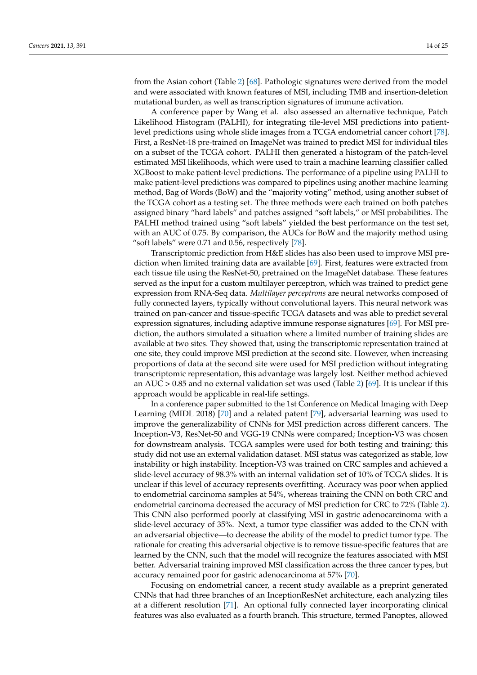from the Asian cohort (Table [2\)](#page-11-0) [\[68\]](#page-22-21). Pathologic signatures were derived from the model and were associated with known features of MSI, including TMB and insertion-deletion mutational burden, as well as transcription signatures of immune activation.

A conference paper by Wang et al. also assessed an alternative technique, Patch Likelihood Histogram (PALHI), for integrating tile-level MSI predictions into patientlevel predictions using whole slide images from a TCGA endometrial cancer cohort [\[78\]](#page-23-5). First, a ResNet-18 pre-trained on ImageNet was trained to predict MSI for individual tiles on a subset of the TCGA cohort. PALHI then generated a histogram of the patch-level estimated MSI likelihoods, which were used to train a machine learning classifier called XGBoost to make patient-level predictions. The performance of a pipeline using PALHI to make patient-level predictions was compared to pipelines using another machine learning method, Bag of Words (BoW) and the "majority voting" method, using another subset of the TCGA cohort as a testing set. The three methods were each trained on both patches assigned binary "hard labels" and patches assigned "soft labels," or MSI probabilities. The PALHI method trained using "soft labels" yielded the best performance on the test set, with an AUC of 0.75. By comparison, the AUCs for BoW and the majority method using "soft labels" were  $0.71$  and  $0.56$ , respectively  $[78]$ .

Transcriptomic prediction from H&E slides has also been used to improve MSI prediction when limited training data are available [\[69\]](#page-22-22). First, features were extracted from each tissue tile using the ResNet-50, pretrained on the ImageNet database. These features served as the input for a custom multilayer perceptron, which was trained to predict gene expression from RNA-Seq data. *Multilayer perceptrons* are neural networks composed of fully connected layers, typically without convolutional layers. This neural network was trained on pan-cancer and tissue-specific TCGA datasets and was able to predict several expression signatures, including adaptive immune response signatures [\[69\]](#page-22-22). For MSI prediction, the authors simulated a situation where a limited number of training slides are available at two sites. They showed that, using the transcriptomic representation trained at one site, they could improve MSI prediction at the second site. However, when increasing proportions of data at the second site were used for MSI prediction without integrating transcriptomic representation, this advantage was largely lost. Neither method achieved an AUC  $> 0.85$  and no external validation set was used (Table [2\)](#page-11-0) [\[69\]](#page-22-22). It is unclear if this approach would be applicable in real-life settings.

In a conference paper submitted to the 1st Conference on Medical Imaging with Deep Learning (MIDL 2018) [\[70\]](#page-22-23) and a related patent [\[79\]](#page-23-6), adversarial learning was used to improve the generalizability of CNNs for MSI prediction across different cancers. The Inception-V3, ResNet-50 and VGG-19 CNNs were compared; Inception-V3 was chosen for downstream analysis. TCGA samples were used for both testing and training; this study did not use an external validation dataset. MSI status was categorized as stable, low instability or high instability. Inception-V3 was trained on CRC samples and achieved a slide-level accuracy of 98.3% with an internal validation set of 10% of TCGA slides. It is unclear if this level of accuracy represents overfitting. Accuracy was poor when applied to endometrial carcinoma samples at 54%, whereas training the CNN on both CRC and endometrial carcinoma decreased the accuracy of MSI prediction for CRC to 72% (Table [2\)](#page-11-0). This CNN also performed poorly at classifying MSI in gastric adenocarcinoma with a slide-level accuracy of 35%. Next, a tumor type classifier was added to the CNN with an adversarial objective—to decrease the ability of the model to predict tumor type. The rationale for creating this adversarial objective is to remove tissue-specific features that are learned by the CNN, such that the model will recognize the features associated with MSI better. Adversarial training improved MSI classification across the three cancer types, but accuracy remained poor for gastric adenocarcinoma at 57% [\[70\]](#page-22-23).

Focusing on endometrial cancer, a recent study available as a preprint generated CNNs that had three branches of an InceptionResNet architecture, each analyzing tiles at a different resolution [\[71\]](#page-22-24). An optional fully connected layer incorporating clinical features was also evaluated as a fourth branch. This structure, termed Panoptes, allowed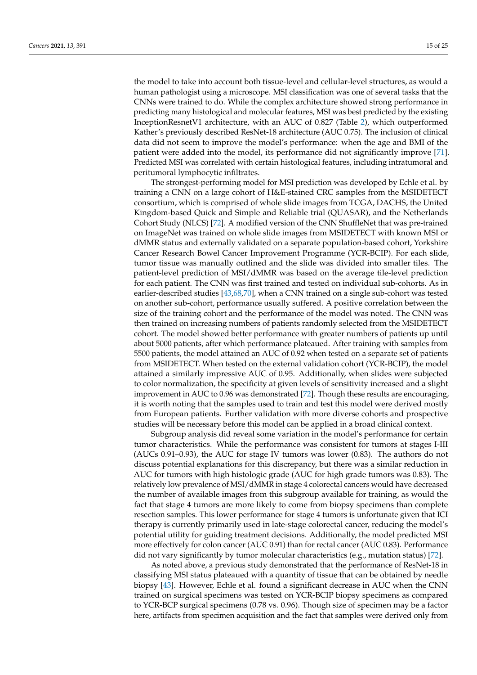the model to take into account both tissue-level and cellular-level structures, as would a human pathologist using a microscope. MSI classification was one of several tasks that the CNNs were trained to do. While the complex architecture showed strong performance in predicting many histological and molecular features, MSI was best predicted by the existing InceptionResnetV1 architecture, with an AUC of 0.827 (Table [2\)](#page-11-0), which outperformed Kather's previously described ResNet-18 architecture (AUC 0.75). The inclusion of clinical data did not seem to improve the model's performance: when the age and BMI of the patient were added into the model, its performance did not significantly improve [\[71\]](#page-22-24). Predicted MSI was correlated with certain histological features, including intratumoral and peritumoral lymphocytic infiltrates.

The strongest-performing model for MSI prediction was developed by Echle et al. by training a CNN on a large cohort of H&E-stained CRC samples from the MSIDETECT consortium, which is comprised of whole slide images from TCGA, DACHS, the United Kingdom-based Quick and Simple and Reliable trial (QUASAR), and the Netherlands Cohort Study (NLCS) [\[72\]](#page-22-25). A modified version of the CNN ShuffleNet that was pre-trained on ImageNet was trained on whole slide images from MSIDETECT with known MSI or dMMR status and externally validated on a separate population-based cohort, Yorkshire Cancer Research Bowel Cancer Improvement Programme (YCR-BCIP). For each slide, tumor tissue was manually outlined and the slide was divided into smaller tiles. The patient-level prediction of MSI/dMMR was based on the average tile-level prediction for each patient. The CNN was first trained and tested on individual sub-cohorts. As in earlier-described studies [\[43,](#page-21-18)[68](#page-22-21)[,70\]](#page-22-23), when a CNN trained on a single sub-cohort was tested on another sub-cohort, performance usually suffered. A positive correlation between the size of the training cohort and the performance of the model was noted. The CNN was then trained on increasing numbers of patients randomly selected from the MSIDETECT cohort. The model showed better performance with greater numbers of patients up until about 5000 patients, after which performance plateaued. After training with samples from 5500 patients, the model attained an AUC of 0.92 when tested on a separate set of patients from MSIDETECT. When tested on the external validation cohort (YCR-BCIP), the model attained a similarly impressive AUC of 0.95. Additionally, when slides were subjected to color normalization, the specificity at given levels of sensitivity increased and a slight improvement in AUC to 0.96 was demonstrated [\[72\]](#page-22-25). Though these results are encouraging, it is worth noting that the samples used to train and test this model were derived mostly from European patients. Further validation with more diverse cohorts and prospective studies will be necessary before this model can be applied in a broad clinical context.

Subgroup analysis did reveal some variation in the model's performance for certain tumor characteristics. While the performance was consistent for tumors at stages I-III (AUCs 0.91–0.93), the AUC for stage IV tumors was lower (0.83). The authors do not discuss potential explanations for this discrepancy, but there was a similar reduction in AUC for tumors with high histologic grade (AUC for high grade tumors was 0.83). The relatively low prevalence of MSI/dMMR in stage 4 colorectal cancers would have decreased the number of available images from this subgroup available for training, as would the fact that stage 4 tumors are more likely to come from biopsy specimens than complete resection samples. This lower performance for stage 4 tumors is unfortunate given that ICI therapy is currently primarily used in late-stage colorectal cancer, reducing the model's potential utility for guiding treatment decisions. Additionally, the model predicted MSI more effectively for colon cancer (AUC 0.91) than for rectal cancer (AUC 0.83). Performance did not vary significantly by tumor molecular characteristics (e.g., mutation status) [\[72\]](#page-22-25).

As noted above, a previous study demonstrated that the performance of ResNet-18 in classifying MSI status plateaued with a quantity of tissue that can be obtained by needle biopsy [\[43\]](#page-21-18). However, Echle et al. found a significant decrease in AUC when the CNN trained on surgical specimens was tested on YCR-BCIP biopsy specimens as compared to YCR-BCP surgical specimens (0.78 vs. 0.96). Though size of specimen may be a factor here, artifacts from specimen acquisition and the fact that samples were derived only from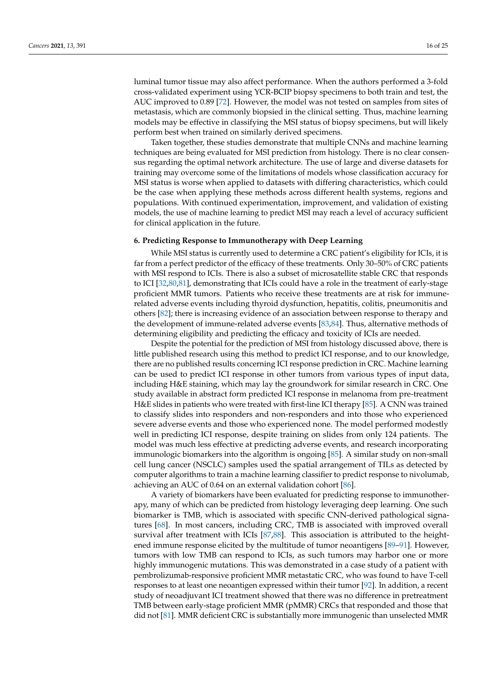luminal tumor tissue may also affect performance. When the authors performed a 3-fold cross-validated experiment using YCR-BCIP biopsy specimens to both train and test, the AUC improved to 0.89 [\[72\]](#page-22-25). However, the model was not tested on samples from sites of metastasis, which are commonly biopsied in the clinical setting. Thus, machine learning models may be effective in classifying the MSI status of biopsy specimens, but will likely perform best when trained on similarly derived specimens.

Taken together, these studies demonstrate that multiple CNNs and machine learning techniques are being evaluated for MSI prediction from histology. There is no clear consensus regarding the optimal network architecture. The use of large and diverse datasets for training may overcome some of the limitations of models whose classification accuracy for MSI status is worse when applied to datasets with differing characteristics, which could be the case when applying these methods across different health systems, regions and populations. With continued experimentation, improvement, and validation of existing models, the use of machine learning to predict MSI may reach a level of accuracy sufficient for clinical application in the future.

# **6. Predicting Response to Immunotherapy with Deep Learning**

While MSI status is currently used to determine a CRC patient's eligibility for ICIs, it is far from a perfect predictor of the efficacy of these treatments. Only 30–50% of CRC patients with MSI respond to ICIs. There is also a subset of microsatellite stable CRC that responds to ICI [\[32,](#page-21-4)[80](#page-23-7)[,81\]](#page-23-8), demonstrating that ICIs could have a role in the treatment of early-stage proficient MMR tumors. Patients who receive these treatments are at risk for immunerelated adverse events including thyroid dysfunction, hepatitis, colitis, pneumonitis and others [\[82\]](#page-23-9); there is increasing evidence of an association between response to therapy and the development of immune-related adverse events [\[83](#page-23-10)[,84\]](#page-23-11). Thus, alternative methods of determining eligibility and predicting the efficacy and toxicity of ICIs are needed.

Despite the potential for the prediction of MSI from histology discussed above, there is little published research using this method to predict ICI response, and to our knowledge, there are no published results concerning ICI response prediction in CRC. Machine learning can be used to predict ICI response in other tumors from various types of input data, including H&E staining, which may lay the groundwork for similar research in CRC. One study available in abstract form predicted ICI response in melanoma from pre-treatment H&E slides in patients who were treated with first-line ICI therapy [\[85\]](#page-23-12). A CNN was trained to classify slides into responders and non-responders and into those who experienced severe adverse events and those who experienced none. The model performed modestly well in predicting ICI response, despite training on slides from only 124 patients. The model was much less effective at predicting adverse events, and research incorporating immunologic biomarkers into the algorithm is ongoing [\[85\]](#page-23-12). A similar study on non-small cell lung cancer (NSCLC) samples used the spatial arrangement of TILs as detected by computer algorithms to train a machine learning classifier to predict response to nivolumab, achieving an AUC of 0.64 on an external validation cohort [\[86\]](#page-23-13).

A variety of biomarkers have been evaluated for predicting response to immunotherapy, many of which can be predicted from histology leveraging deep learning. One such biomarker is TMB, which is associated with specific CNN-derived pathological signatures [\[68\]](#page-22-21). In most cancers, including CRC, TMB is associated with improved overall survival after treatment with ICIs [\[87,](#page-23-14)[88\]](#page-23-15). This association is attributed to the heightened immune response elicited by the multitude of tumor neoantigens [\[89–](#page-23-16)[91\]](#page-23-17). However, tumors with low TMB can respond to ICIs, as such tumors may harbor one or more highly immunogenic mutations. This was demonstrated in a case study of a patient with pembrolizumab-responsive proficient MMR metastatic CRC, who was found to have T-cell responses to at least one neoantigen expressed within their tumor [\[92\]](#page-23-18). In addition, a recent study of neoadjuvant ICI treatment showed that there was no difference in pretreatment TMB between early-stage proficient MMR (pMMR) CRCs that responded and those that did not [\[81\]](#page-23-8). MMR deficient CRC is substantially more immunogenic than unselected MMR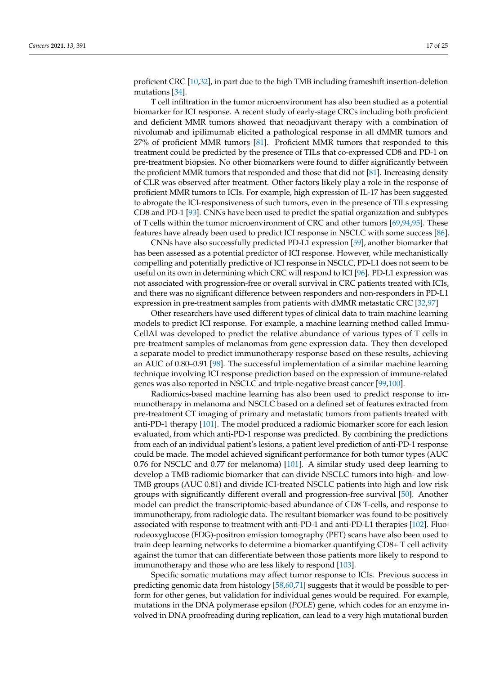proficient CRC [\[10,](#page-20-9)[32\]](#page-21-4), in part due to the high TMB including frameshift insertion-deletion mutations [\[34\]](#page-21-5).

T cell infiltration in the tumor microenvironment has also been studied as a potential biomarker for ICI response. A recent study of early-stage CRCs including both proficient and deficient MMR tumors showed that neoadjuvant therapy with a combination of nivolumab and ipilimumab elicited a pathological response in all dMMR tumors and 27% of proficient MMR tumors [\[81\]](#page-23-8). Proficient MMR tumors that responded to this treatment could be predicted by the presence of TILs that co-expressed CD8 and PD-1 on pre-treatment biopsies. No other biomarkers were found to differ significantly between the proficient MMR tumors that responded and those that did not [\[81\]](#page-23-8). Increasing density of CLR was observed after treatment. Other factors likely play a role in the response of proficient MMR tumors to ICIs. For example, high expression of IL-17 has been suggested to abrogate the ICI-responsiveness of such tumors, even in the presence of TILs expressing CD8 and PD-1 [\[93\]](#page-23-19). CNNs have been used to predict the spatial organization and subtypes of T cells within the tumor microenvironment of CRC and other tumors [\[69,](#page-22-22)[94,](#page-23-20)[95\]](#page-24-0). These features have already been used to predict ICI response in NSCLC with some success [\[86\]](#page-23-13).

CNNs have also successfully predicted PD-L1 expression [\[59\]](#page-22-7), another biomarker that has been assessed as a potential predictor of ICI response. However, while mechanistically compelling and potentially predictive of ICI response in NSCLC, PD-L1 does not seem to be useful on its own in determining which CRC will respond to ICI [\[96\]](#page-24-1). PD-L1 expression was not associated with progression-free or overall survival in CRC patients treated with ICIs, and there was no significant difference between responders and non-responders in PD-L1 expression in pre-treatment samples from patients with dMMR metastatic CRC [\[32](#page-21-4)[,97\]](#page-24-2)

Other researchers have used different types of clinical data to train machine learning models to predict ICI response. For example, a machine learning method called Immu-CellAI was developed to predict the relative abundance of various types of T cells in pre-treatment samples of melanomas from gene expression data. They then developed a separate model to predict immunotherapy response based on these results, achieving an AUC of 0.80–0.91 [\[98\]](#page-24-3). The successful implementation of a similar machine learning technique involving ICI response prediction based on the expression of immune-related genes was also reported in NSCLC and triple-negative breast cancer [\[99](#page-24-4)[,100\]](#page-24-5).

Radiomics-based machine learning has also been used to predict response to immunotherapy in melanoma and NSCLC based on a defined set of features extracted from pre-treatment CT imaging of primary and metastatic tumors from patients treated with anti-PD-1 therapy [\[101\]](#page-24-6). The model produced a radiomic biomarker score for each lesion evaluated, from which anti-PD-1 response was predicted. By combining the predictions from each of an individual patient's lesions, a patient level prediction of anti-PD-1 response could be made. The model achieved significant performance for both tumor types (AUC 0.76 for NSCLC and 0.77 for melanoma) [\[101\]](#page-24-6). A similar study used deep learning to develop a TMB radiomic biomarker that can divide NSCLC tumors into high- and low-TMB groups (AUC 0.81) and divide ICI-treated NSCLC patients into high and low risk groups with significantly different overall and progression-free survival [\[50\]](#page-21-26). Another model can predict the transcriptomic-based abundance of CD8 T-cells, and response to immunotherapy, from radiologic data. The resultant biomarker was found to be positively associated with response to treatment with anti-PD-1 and anti-PD-L1 therapies [\[102\]](#page-24-7). Fluorodeoxyglucose (FDG)-positron emission tomography (PET) scans have also been used to train deep learning networks to determine a biomarker quantifying CD8+ T cell activity against the tumor that can differentiate between those patients more likely to respond to immunotherapy and those who are less likely to respond [\[103\]](#page-24-8).

Specific somatic mutations may affect tumor response to ICIs. Previous success in predicting genomic data from histology [\[58](#page-22-6)[,60,](#page-22-8)[71\]](#page-22-24) suggests that it would be possible to perform for other genes, but validation for individual genes would be required. For example, mutations in the DNA polymerase epsilon (*POLE*) gene, which codes for an enzyme involved in DNA proofreading during replication, can lead to a very high mutational burden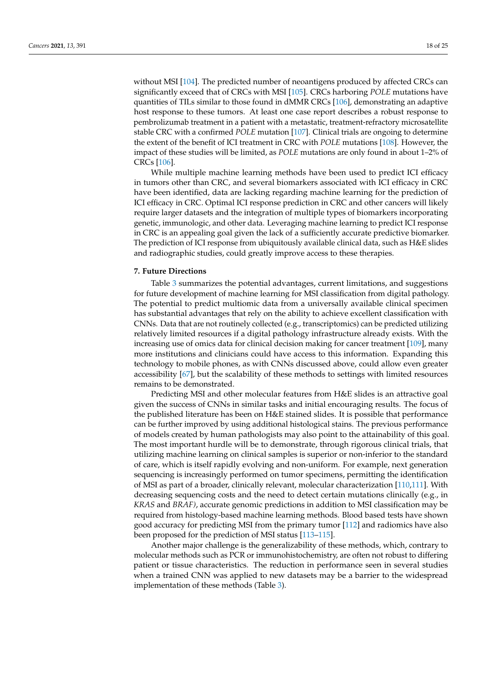without MSI [\[104\]](#page-24-9). The predicted number of neoantigens produced by affected CRCs can significantly exceed that of CRCs with MSI [\[105\]](#page-24-10). CRCs harboring *POLE* mutations have quantities of TILs similar to those found in dMMR CRCs [\[106\]](#page-24-11), demonstrating an adaptive host response to these tumors. At least one case report describes a robust response to pembrolizumab treatment in a patient with a metastatic, treatment-refractory microsatellite stable CRC with a confirmed *POLE* mutation [\[107\]](#page-24-12). Clinical trials are ongoing to determine the extent of the benefit of ICI treatment in CRC with *POLE* mutations [\[108\]](#page-24-13). However, the impact of these studies will be limited, as *POLE* mutations are only found in about 1–2% of CRCs [\[106\]](#page-24-11).

While multiple machine learning methods have been used to predict ICI efficacy in tumors other than CRC, and several biomarkers associated with ICI efficacy in CRC have been identified, data are lacking regarding machine learning for the prediction of ICI efficacy in CRC. Optimal ICI response prediction in CRC and other cancers will likely require larger datasets and the integration of multiple types of biomarkers incorporating genetic, immunologic, and other data. Leveraging machine learning to predict ICI response in CRC is an appealing goal given the lack of a sufficiently accurate predictive biomarker. The prediction of ICI response from ubiquitously available clinical data, such as H&E slides and radiographic studies, could greatly improve access to these therapies.

### **7. Future Directions**

Table [3](#page-18-0) summarizes the potential advantages, current limitations, and suggestions for future development of machine learning for MSI classification from digital pathology. The potential to predict multiomic data from a universally available clinical specimen has substantial advantages that rely on the ability to achieve excellent classification with CNNs. Data that are not routinely collected (e.g., transcriptomics) can be predicted utilizing relatively limited resources if a digital pathology infrastructure already exists. With the increasing use of omics data for clinical decision making for cancer treatment [\[109\]](#page-24-14), many more institutions and clinicians could have access to this information. Expanding this technology to mobile phones, as with CNNs discussed above, could allow even greater accessibility [\[67\]](#page-22-20), but the scalability of these methods to settings with limited resources remains to be demonstrated.

Predicting MSI and other molecular features from H&E slides is an attractive goal given the success of CNNs in similar tasks and initial encouraging results. The focus of the published literature has been on H&E stained slides. It is possible that performance can be further improved by using additional histological stains. The previous performance of models created by human pathologists may also point to the attainability of this goal. The most important hurdle will be to demonstrate, through rigorous clinical trials, that utilizing machine learning on clinical samples is superior or non-inferior to the standard of care, which is itself rapidly evolving and non-uniform. For example, next generation sequencing is increasingly performed on tumor specimens, permitting the identification of MSI as part of a broader, clinically relevant, molecular characterization [\[110](#page-24-15)[,111\]](#page-24-16). With decreasing sequencing costs and the need to detect certain mutations clinically (e.g., in *KRAS* and *BRAF)*, accurate genomic predictions in addition to MSI classification may be required from histology-based machine learning methods. Blood based tests have shown good accuracy for predicting MSI from the primary tumor [\[112\]](#page-24-17) and radiomics have also been proposed for the prediction of MSI status [\[113–](#page-24-18)[115\]](#page-24-19).

Another major challenge is the generalizability of these methods, which, contrary to molecular methods such as PCR or immunohistochemistry, are often not robust to differing patient or tissue characteristics. The reduction in performance seen in several studies when a trained CNN was applied to new datasets may be a barrier to the widespread implementation of these methods (Table [3\)](#page-18-0).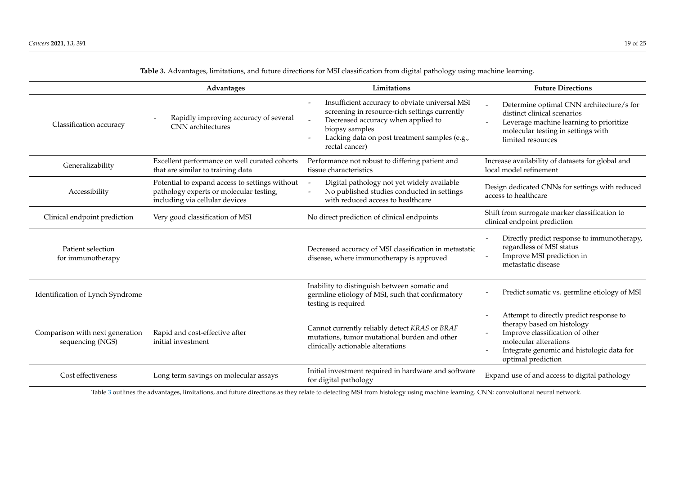<span id="page-18-1"></span>

|                                                     | Advantages                                                                                                                  | Limitations                                                                                                                                                                                                                | <b>Future Directions</b>                                                                                                                                                                                                         |
|-----------------------------------------------------|-----------------------------------------------------------------------------------------------------------------------------|----------------------------------------------------------------------------------------------------------------------------------------------------------------------------------------------------------------------------|----------------------------------------------------------------------------------------------------------------------------------------------------------------------------------------------------------------------------------|
| Classification accuracy                             | Rapidly improving accuracy of several<br>CNN architectures                                                                  | Insufficient accuracy to obviate universal MSI<br>screening in resource-rich settings currently<br>Decreased accuracy when applied to<br>biopsy samples<br>Lacking data on post treatment samples (e.g.,<br>rectal cancer) | Determine optimal CNN architecture/s for<br>distinct clinical scenarios<br>Leverage machine learning to prioritize<br>molecular testing in settings with<br>limited resources                                                    |
| Generalizability                                    | Excellent performance on well curated cohorts<br>that are similar to training data                                          | Performance not robust to differing patient and<br>tissue characteristics                                                                                                                                                  | Increase availability of datasets for global and<br>local model refinement                                                                                                                                                       |
| Accessibility                                       | Potential to expand access to settings without<br>pathology experts or molecular testing,<br>including via cellular devices | Digital pathology not yet widely available<br>No published studies conducted in settings<br>with reduced access to healthcare                                                                                              | Design dedicated CNNs for settings with reduced<br>access to healthcare                                                                                                                                                          |
| Clinical endpoint prediction                        | Very good classification of MSI                                                                                             | No direct prediction of clinical endpoints                                                                                                                                                                                 | Shift from surrogate marker classification to<br>clinical endpoint prediction                                                                                                                                                    |
| Patient selection<br>for immunotherapy              |                                                                                                                             | Decreased accuracy of MSI classification in metastatic<br>disease, where immunotherapy is approved                                                                                                                         | Directly predict response to immunotherapy,<br>regardless of MSI status<br>Improve MSI prediction in<br>metastatic disease                                                                                                       |
| Identification of Lynch Syndrome                    |                                                                                                                             | Inability to distinguish between somatic and<br>germline etiology of MSI, such that confirmatory<br>testing is required                                                                                                    | Predict somatic vs. germline etiology of MSI                                                                                                                                                                                     |
| Comparison with next generation<br>sequencing (NGS) | Rapid and cost-effective after<br>initial investment                                                                        | Cannot currently reliably detect KRAS or BRAF<br>mutations, tumor mutational burden and other<br>clinically actionable alterations                                                                                         | Attempt to directly predict response to<br>$\overline{\phantom{a}}$<br>therapy based on histology<br>Improve classification of other<br>molecular alterations<br>Integrate genomic and histologic data for<br>optimal prediction |
| Cost effectiveness                                  | Long term savings on molecular assays                                                                                       | Initial investment required in hardware and software<br>for digital pathology                                                                                                                                              | Expand use of and access to digital pathology                                                                                                                                                                                    |

**Table 3.** Advantages, limitations, and future directions for MSI classification from digital pathology using machine learning.

<span id="page-18-0"></span>Table [3](#page-18-1) outlines the advantages, limitations, and future directions as they relate to detecting MSI from histology using machine learning. CNN: convolutional neural network.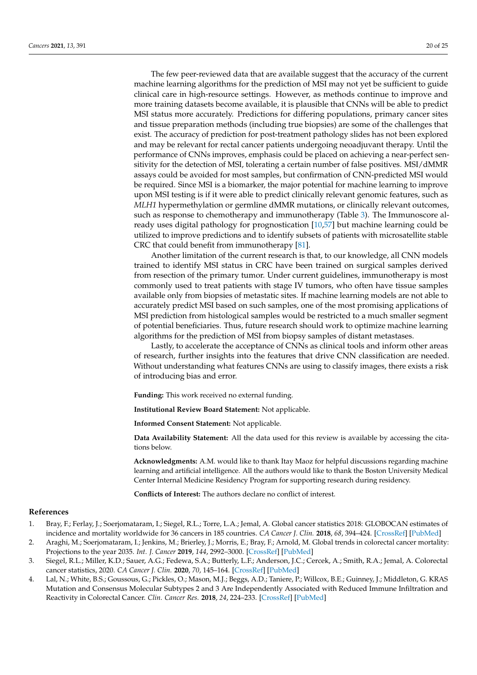The few peer-reviewed data that are available suggest that the accuracy of the current machine learning algorithms for the prediction of MSI may not yet be sufficient to guide clinical care in high-resource settings. However, as methods continue to improve and more training datasets become available, it is plausible that CNNs will be able to predict MSI status more accurately. Predictions for differing populations, primary cancer sites and tissue preparation methods (including true biopsies) are some of the challenges that exist. The accuracy of prediction for post-treatment pathology slides has not been explored and may be relevant for rectal cancer patients undergoing neoadjuvant therapy. Until the performance of CNNs improves, emphasis could be placed on achieving a near-perfect sensitivity for the detection of MSI, tolerating a certain number of false positives. MSI/dMMR assays could be avoided for most samples, but confirmation of CNN-predicted MSI would be required. Since MSI is a biomarker, the major potential for machine learning to improve upon MSI testing is if it were able to predict clinically relevant genomic features, such as *MLH1* hypermethylation or germline dMMR mutations, or clinically relevant outcomes, such as response to chemotherapy and immunotherapy (Table [3\)](#page-18-0). The Immunoscore already uses digital pathology for prognostication [\[10,](#page-20-9)[57\]](#page-22-5) but machine learning could be utilized to improve predictions and to identify subsets of patients with microsatellite stable CRC that could benefit from immunotherapy [\[81\]](#page-23-8).

Another limitation of the current research is that, to our knowledge, all CNN models trained to identify MSI status in CRC have been trained on surgical samples derived from resection of the primary tumor. Under current guidelines, immunotherapy is most commonly used to treat patients with stage IV tumors, who often have tissue samples available only from biopsies of metastatic sites. If machine learning models are not able to accurately predict MSI based on such samples, one of the most promising applications of MSI prediction from histological samples would be restricted to a much smaller segment of potential beneficiaries. Thus, future research should work to optimize machine learning algorithms for the prediction of MSI from biopsy samples of distant metastases.

Lastly, to accelerate the acceptance of CNNs as clinical tools and inform other areas of research, further insights into the features that drive CNN classification are needed. Without understanding what features CNNs are using to classify images, there exists a risk of introducing bias and error.

**Funding:** This work received no external funding.

**Institutional Review Board Statement:** Not applicable.

**Informed Consent Statement:** Not applicable.

**Data Availability Statement:** All the data used for this review is available by accessing the citations below.

**Acknowledgments:** A.M. would like to thank Itay Maoz for helpful discussions regarding machine learning and artificial intelligence. All the authors would like to thank the Boston University Medical Center Internal Medicine Residency Program for supporting research during residency.

**Conflicts of Interest:** The authors declare no conflict of interest.

#### **References**

- <span id="page-19-0"></span>1. Bray, F.; Ferlay, J.; Soerjomataram, I.; Siegel, R.L.; Torre, L.A.; Jemal, A. Global cancer statistics 2018: GLOBOCAN estimates of incidence and mortality worldwide for 36 cancers in 185 countries. *CA Cancer J. Clin.* **2018**, *68*, 394–424. [\[CrossRef\]](http://doi.org/10.3322/caac.21492) [\[PubMed\]](http://www.ncbi.nlm.nih.gov/pubmed/30207593)
- <span id="page-19-1"></span>2. Araghi, M.; Soerjomataram, I.; Jenkins, M.; Brierley, J.; Morris, E.; Bray, F.; Arnold, M. Global trends in colorectal cancer mortality: Projections to the year 2035. *Int. J. Cancer* **2019**, *144*, 2992–3000. [\[CrossRef\]](http://doi.org/10.1002/ijc.32055) [\[PubMed\]](http://www.ncbi.nlm.nih.gov/pubmed/30536395)
- <span id="page-19-2"></span>3. Siegel, R.L.; Miller, K.D.; Sauer, A.G.; Fedewa, S.A.; Butterly, L.F.; Anderson, J.C.; Cercek, A.; Smith, R.A.; Jemal, A. Colorectal cancer statistics, 2020. *CA Cancer J. Clin.* **2020**, *70*, 145–164. [\[CrossRef\]](http://doi.org/10.3322/caac.21601) [\[PubMed\]](http://www.ncbi.nlm.nih.gov/pubmed/32133645)
- <span id="page-19-3"></span>4. Lal, N.; White, B.S.; Goussous, G.; Pickles, O.; Mason, M.J.; Beggs, A.D.; Taniere, P.; Willcox, B.E.; Guinney, J.; Middleton, G. KRAS Mutation and Consensus Molecular Subtypes 2 and 3 Are Independently Associated with Reduced Immune Infiltration and Reactivity in Colorectal Cancer. *Clin. Cancer Res.* **2018**, *24*, 224–233. [\[CrossRef\]](http://doi.org/10.1158/1078-0432.CCR-17-1090) [\[PubMed\]](http://www.ncbi.nlm.nih.gov/pubmed/29061646)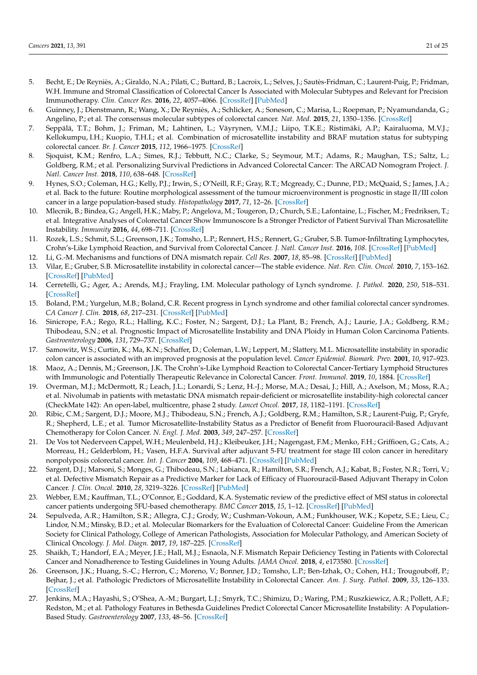- 5. Becht, E.; De Reyniès, A.; Giraldo, N.A.; Pilati, C.; Buttard, B.; Lacroix, L.; Selves, J.; Sautès-Fridman, C.; Laurent-Puig, P.; Fridman, W.H. Immune and Stromal Classification of Colorectal Cancer Is Associated with Molecular Subtypes and Relevant for Precision Immunotherapy. *Clin. Cancer Res.* **2016**, *22*, 4057–4066. [\[CrossRef\]](http://doi.org/10.1158/1078-0432.CCR-15-2879) [\[PubMed\]](http://www.ncbi.nlm.nih.gov/pubmed/26994146)
- 6. Guinney, J.; Dienstmann, R.; Wang, X.; De Reyniès, A.; Schlicker, A.; Soneson, C.; Marisa, L.; Roepman, P.; Nyamundanda, G.; Angelino, P.; et al. The consensus molecular subtypes of colorectal cancer. *Nat. Med.* **2015**, *21*, 1350–1356. [\[CrossRef\]](http://doi.org/10.1038/nm.3967)
- <span id="page-20-0"></span>7. Seppälä, T.T.; Bohm, J.; Friman, M.; Lahtinen, L.; Väyrynen, V.M.J.; Liipo, T.K.E.; Ristimäki, A.P.; Kairaluoma, M.V.J.; Kellokumpu, I.H.; Kuopio, T.H.I.; et al. Combination of microsatellite instability and BRAF mutation status for subtyping colorectal cancer. *Br. J. Cancer* **2015**, *112*, 1966–1975. [\[CrossRef\]](http://doi.org/10.1038/bjc.2015.160)
- <span id="page-20-1"></span>8. Sjoquist, K.M.; Renfro, L.A.; Simes, R.J.; Tebbutt, N.C.; Clarke, S.; Seymour, M.T.; Adams, R.; Maughan, T.S.; Saltz, L.; Goldberg, R.M.; et al. Personalizing Survival Predictions in Advanced Colorectal Cancer: The ARCAD Nomogram Project. *J. Natl. Cancer Inst.* **2018**, *110*, 638–648. [\[CrossRef\]](http://doi.org/10.1093/jnci/djx253)
- 9. Hynes, S.O.; Coleman, H.G.; Kelly, P.J.; Irwin, S.; O'Neill, R.F.; Gray, R.T.; Mcgready, C.; Dunne, P.D.; McQuaid, S.; James, J.A.; et al. Back to the future: Routine morphological assessment of the tumour microenvironment is prognostic in stage II/III colon cancer in a large population-based study. *Histopathology* **2017**, *71*, 12–26. [\[CrossRef\]](http://doi.org/10.1111/his.13181)
- <span id="page-20-9"></span>10. Mlecnik, B.; Bindea, G.; Angell, H.K.; Maby, P.; Angelova, M.; Tougeron, D.; Church, S.E.; Lafontaine, L.; Fischer, M.; Fredriksen, T.; et al. Integrative Analyses of Colorectal Cancer Show Immunoscore Is a Stronger Predictor of Patient Survival Than Microsatellite Instability. *Immunity* **2016**, *44*, 698–711. [\[CrossRef\]](http://doi.org/10.1016/j.immuni.2016.02.025)
- <span id="page-20-2"></span>11. Rozek, L.S.; Schmit, S.L.; Greenson, J.K.; Tomsho, L.P.; Rennert, H.S.; Rennert, G.; Gruber, S.B. Tumor-Infiltrating Lymphocytes, Crohn's-Like Lymphoid Reaction, and Survival from Colorectal Cancer. *J. Natl. Cancer Inst.* **2016**, *108*. [\[CrossRef\]](http://doi.org/10.1093/jnci/djw027) [\[PubMed\]](http://www.ncbi.nlm.nih.gov/pubmed/27172903)
- <span id="page-20-3"></span>12. Li, G.-M. Mechanisms and functions of DNA mismatch repair. *Cell Res.* **2007**, *18*, 85–98. [\[CrossRef\]](http://doi.org/10.1038/cr.2007.115) [\[PubMed\]](http://www.ncbi.nlm.nih.gov/pubmed/18157157)
- <span id="page-20-5"></span>13. Vilar, E.; Gruber, S.B. Microsatellite instability in colorectal cancer—The stable evidence. *Nat. Rev. Clin. Oncol.* **2010**, *7*, 153–162. [\[CrossRef\]](http://doi.org/10.1038/nrclinonc.2009.237) [\[PubMed\]](http://www.ncbi.nlm.nih.gov/pubmed/20142816)
- <span id="page-20-4"></span>14. Cerretelli, G.; Ager, A.; Arends, M.J.; Frayling, I.M. Molecular pathology of Lynch syndrome. *J. Pathol.* **2020**, *250*, 518–531. [\[CrossRef\]](http://doi.org/10.1002/path.5422)
- <span id="page-20-6"></span>15. Boland, P.M.; Yurgelun, M.B.; Boland, C.R. Recent progress in Lynch syndrome and other familial colorectal cancer syndromes. *CA Cancer J. Clin.* **2018**, *68*, 217–231. [\[CrossRef\]](http://doi.org/10.3322/caac.21448) [\[PubMed\]](http://www.ncbi.nlm.nih.gov/pubmed/29485237)
- <span id="page-20-7"></span>16. Sinicrope, F.A.; Rego, R.L.; Halling, K.C.; Foster, N.; Sargent, D.J.; La Plant, B.; French, A.J.; Laurie, J.A.; Goldberg, R.M.; Thibodeau, S.N.; et al. Prognostic Impact of Microsatellite Instability and DNA Ploidy in Human Colon Carcinoma Patients. *Gastroenterology* **2006**, *131*, 729–737. [\[CrossRef\]](http://doi.org/10.1053/j.gastro.2006.06.005)
- <span id="page-20-8"></span>17. Samowitz, W.S.; Curtin, K.; Ma, K.N.; Schaffer, D.; Coleman, L.W.; Leppert, M.; Slattery, M.L. Microsatellite instability in sporadic colon cancer is associated with an improved prognosis at the population level. *Cancer Epidemiol. Biomark. Prev.* **2001**, *10*, 917–923.
- <span id="page-20-18"></span><span id="page-20-10"></span>18. Maoz, A.; Dennis, M.; Greenson, J.K. The Crohn's-Like Lymphoid Reaction to Colorectal Cancer-Tertiary Lymphoid Structures with Immunologic and Potentially Therapeutic Relevance in Colorectal Cancer. *Front. Immunol.* **2019**, *10*, 1884. [\[CrossRef\]](http://doi.org/10.3389/fimmu.2019.01884)
- <span id="page-20-19"></span><span id="page-20-11"></span>19. Overman, M.J.; McDermott, R.; Leach, J.L.; Lonardi, S.; Lenz, H.-J.; Morse, M.A.; Desai, J.; Hill, A.; Axelson, M.; Moss, R.A.; et al. Nivolumab in patients with metastatic DNA mismatch repair-deficient or microsatellite instability-high colorectal cancer (CheckMate 142): An open-label, multicentre, phase 2 study. *Lancet Oncol.* **2017**, *18*, 1182–1191. [\[CrossRef\]](http://doi.org/10.1016/S1470-2045(17)30422-9)
- <span id="page-20-12"></span>20. Ribic, C.M.; Sargent, D.J.; Moore, M.J.; Thibodeau, S.N.; French, A.J.; Goldberg, R.M.; Hamilton, S.R.; Laurent-Puig, P.; Gryfe, R.; Shepherd, L.E.; et al. Tumor Microsatellite-Instability Status as a Predictor of Benefit from Fluorouracil-Based Adjuvant Chemotherapy for Colon Cancer. *N. Engl. J. Med.* **2003**, *349*, 247–257. [\[CrossRef\]](http://doi.org/10.1056/NEJMoa022289)
- 21. De Vos tot Nederveen Cappel, W.H.; Meulenbeld, H.J.; Kleibeuker, J.H.; Nagengast, F.M.; Menko, F.H.; Griffioen, G.; Cats, A.; Morreau, H.; Gelderblom, H.; Vasen, H.F.A. Survival after adjuvant 5-FU treatment for stage III colon cancer in hereditary nonpolyposis colorectal cancer. *Int. J. Cancer* **2004**, *109*, 468–471. [\[CrossRef\]](http://doi.org/10.1002/ijc.11712) [\[PubMed\]](http://www.ncbi.nlm.nih.gov/pubmed/14961589)
- 22. Sargent, D.J.; Marsoni, S.; Monges, G.; Thibodeau, S.N.; Labianca, R.; Hamilton, S.R.; French, A.J.; Kabat, B.; Foster, N.R.; Torri, V.; et al. Defective Mismatch Repair as a Predictive Marker for Lack of Efficacy of Fluorouracil-Based Adjuvant Therapy in Colon Cancer. *J. Clin. Oncol.* **2010**, *28*, 3219–3226. [\[CrossRef\]](http://doi.org/10.1200/JCO.2009.27.1825) [\[PubMed\]](http://www.ncbi.nlm.nih.gov/pubmed/20498393)
- <span id="page-20-13"></span>23. Webber, E.M.; Kauffman, T.L.; O'Connor, E.; Goddard, K.A. Systematic review of the predictive effect of MSI status in colorectal cancer patients undergoing 5FU-based chemotherapy. *BMC Cancer* **2015**, *15*, 1–12. [\[CrossRef\]](http://doi.org/10.1186/s12885-015-1093-4) [\[PubMed\]](http://www.ncbi.nlm.nih.gov/pubmed/25884995)
- <span id="page-20-14"></span>24. Sepulveda, A.R.; Hamilton, S.R.; Allegra, C.J.; Grody, W.; Cushman-Vokoun, A.M.; Funkhouser, W.K.; Kopetz, S.E.; Lieu, C.; Lindor, N.M.; Minsky, B.D.; et al. Molecular Biomarkers for the Evaluation of Colorectal Cancer: Guideline From the American Society for Clinical Pathology, College of American Pathologists, Association for Molecular Pathology, and American Society of Clinical Oncology. *J. Mol. Diagn.* **2017**, *19*, 187–225. [\[CrossRef\]](http://doi.org/10.1016/j.jmoldx.2016.11.001)
- <span id="page-20-15"></span>25. Shaikh, T.; Handorf, E.A.; Meyer, J.E.; Hall, M.J.; Esnaola, N.F. Mismatch Repair Deficiency Testing in Patients with Colorectal Cancer and Nonadherence to Testing Guidelines in Young Adults. *JAMA Oncol.* **2018**, *4*, e173580. [\[CrossRef\]](http://doi.org/10.1001/jamaoncol.2017.3580)
- <span id="page-20-16"></span>26. Greenson, J.K.; Huang, S.-C.; Herron, C.; Moreno, V.; Bonner, J.D.; Tomsho, L.P.; Ben-Izhak, O.; Cohen, H.I.; Trougouboff, P.; Bejhar, J.; et al. Pathologic Predictors of Microsatellite Instability in Colorectal Cancer. *Am. J. Surg. Pathol.* **2009**, *33*, 126–133. [\[CrossRef\]](http://doi.org/10.1097/pas.0b013e31817ec2b1)
- <span id="page-20-17"></span>27. Jenkins, M.A.; Hayashi, S.; O'Shea, A.-M.; Burgart, L.J.; Smyrk, T.C.; Shimizu, D.; Waring, P.M.; Ruszkiewicz, A.R.; Pollett, A.F.; Redston, M.; et al. Pathology Features in Bethesda Guidelines Predict Colorectal Cancer Microsatellite Instability: A Population-Based Study. *Gastroenterology* **2007**, *133*, 48–56. [\[CrossRef\]](http://doi.org/10.1053/j.gastro.2007.04.044)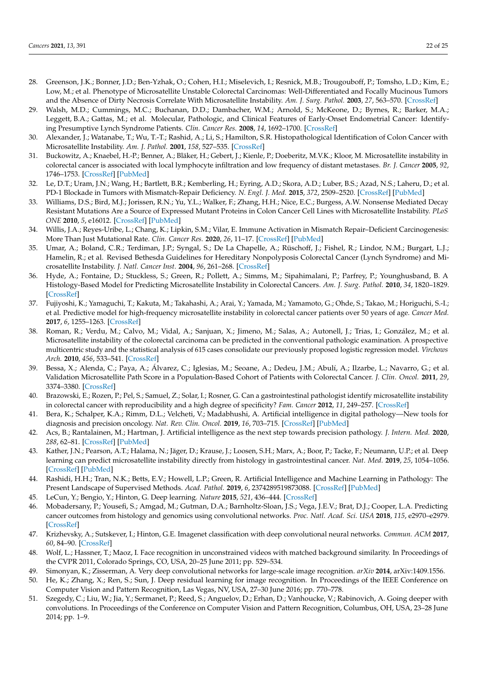- <span id="page-21-8"></span><span id="page-21-7"></span><span id="page-21-0"></span>28. Greenson, J.K.; Bonner, J.D.; Ben-Yzhak, O.; Cohen, H.I.; Miselevich, I.; Resnick, M.B.; Trougouboff, P.; Tomsho, L.D.; Kim, E.; Low, M.; et al. Phenotype of Microsatellite Unstable Colorectal Carcinomas: Well-Differentiated and Focally Mucinous Tumors and the Absence of Dirty Necrosis Correlate With Microsatellite Instability. *Am. J. Surg. Pathol.* **2003**, *27*, 563–570. [\[CrossRef\]](http://doi.org/10.1097/00000478-200305000-00001)
- <span id="page-21-9"></span><span id="page-21-1"></span>29. Walsh, M.D.; Cummings, M.C.; Buchanan, D.D.; Dambacher, W.M.; Arnold, S.; McKeone, D.; Byrnes, R.; Barker, M.A.; Leggett, B.A.; Gattas, M.; et al. Molecular, Pathologic, and Clinical Features of Early-Onset Endometrial Cancer: Identifying Presumptive Lynch Syndrome Patients. *Clin. Cancer Res.* **2008**, *14*, 1692–1700. [\[CrossRef\]](http://doi.org/10.1158/1078-0432.CCR-07-1849)
- <span id="page-21-10"></span><span id="page-21-2"></span>30. Alexander, J.; Watanabe, T.; Wu, T.-T.; Rashid, A.; Li, S.; Hamilton, S.R. Histopathological Identification of Colon Cancer with Microsatellite Instability. *Am. J. Pathol.* **2001**, *158*, 527–535. [\[CrossRef\]](http://doi.org/10.1016/S0002-9440(10)63994-6)
- <span id="page-21-3"></span>31. Buckowitz, A.; Knaebel, H.-P.; Benner, A.; Bläker, H.; Gebert, J.; Kienle, P.; Doeberitz, M.V.K.; Kloor, M. Microsatellite instability in colorectal cancer is associated with local lymphocyte infiltration and low frequency of distant metastases. *Br. J. Cancer* **2005**, *92*, 1746–1753. [\[CrossRef\]](http://doi.org/10.1038/sj.bjc.6602534) [\[PubMed\]](http://www.ncbi.nlm.nih.gov/pubmed/15856045)
- <span id="page-21-4"></span>32. Le, D.T.; Uram, J.N.; Wang, H.; Bartlett, B.R.; Kemberling, H.; Eyring, A.D.; Skora, A.D.; Luber, B.S.; Azad, N.S.; Laheru, D.; et al. PD-1 Blockade in Tumors with Mismatch-Repair Deficiency. *N. Engl. J. Med.* **2015**, *372*, 2509–2520. [\[CrossRef\]](http://doi.org/10.1056/NEJMoa1500596) [\[PubMed\]](http://www.ncbi.nlm.nih.gov/pubmed/26028255)
- 33. Williams, D.S.; Bird, M.J.; Jorissen, R.N.; Yu, Y.L.; Walker, F.; Zhang, H.H.; Nice, E.C.; Burgess, A.W. Nonsense Mediated Decay Resistant Mutations Are a Source of Expressed Mutant Proteins in Colon Cancer Cell Lines with Microsatellite Instability. *PLoS ONE* **2010**, *5*, e16012. [\[CrossRef\]](http://doi.org/10.1371/journal.pone.0016012) [\[PubMed\]](http://www.ncbi.nlm.nih.gov/pubmed/21209843)
- <span id="page-21-5"></span>34. Willis, J.A.; Reyes-Uribe, L.; Chang, K.; Lipkin, S.M.; Vilar, E. Immune Activation in Mismatch Repair–Deficient Carcinogenesis: More Than Just Mutational Rate. *Clin. Cancer Res.* **2020**, *26*, 11–17. [\[CrossRef\]](http://doi.org/10.1158/1078-0432.CCR-18-0856) [\[PubMed\]](http://www.ncbi.nlm.nih.gov/pubmed/31383734)
- <span id="page-21-27"></span><span id="page-21-6"></span>35. Umar, A.; Boland, C.R.; Terdiman, J.P.; Syngal, S.; De La Chapelle, A.; Rüschoff, J.; Fishel, R.; Lindor, N.M.; Burgart, L.J.; Hamelin, R.; et al. Revised Bethesda Guidelines for Hereditary Nonpolyposis Colorectal Cancer (Lynch Syndrome) and Microsatellite Instability. *J. Natl. Cancer Inst.* **2004**, *96*, 261–268. [\[CrossRef\]](http://doi.org/10.1093/jnci/djh034)
- <span id="page-21-13"></span>36. Hyde, A.; Fontaine, D.; Stuckless, S.; Green, R.; Pollett, A.; Simms, M.; Sipahimalani, P.; Parfrey, P.; Younghusband, B. A Histology-Based Model for Predicting Microsatellite Instability in Colorectal Cancers. *Am. J. Surg. Pathol.* **2010**, *34*, 1820–1829. [\[CrossRef\]](http://doi.org/10.1097/PAS.0b013e3181f6a912)
- <span id="page-21-15"></span>37. Fujiyoshi, K.; Yamaguchi, T.; Kakuta, M.; Takahashi, A.; Arai, Y.; Yamada, M.; Yamamoto, G.; Ohde, S.; Takao, M.; Horiguchi, S.-I.; et al. Predictive model for high-frequency microsatellite instability in colorectal cancer patients over 50 years of age. *Cancer Med.* **2017**, *6*, 1255–1263. [\[CrossRef\]](http://doi.org/10.1002/cam4.1088)
- <span id="page-21-14"></span>38. Roman, R.; Verdu, M.; Calvo, M.; Vidal, A.; Sanjuan, X.; Jimeno, M.; Salas, A.; Autonell, J.; Trias, I.; González, M.; et al. Microsatellite instability of the colorectal carcinoma can be predicted in the conventional pathologic examination. A prospective multicentric study and the statistical analysis of 615 cases consolidate our previously proposed logistic regression model. *Virchows Arch.* **2010**, *456*, 533–541. [\[CrossRef\]](http://doi.org/10.1007/s00428-010-0896-6)
- <span id="page-21-11"></span>39. Bessa, X.; Alenda, C.; Paya, A.; Álvarez, C.; Iglesias, M.; Seoane, A.; Dedeu, J.M.; Abulí, A.; Ilzarbe, L.; Navarro, G.; et al. Validation Microsatellite Path Score in a Population-Based Cohort of Patients with Colorectal Cancer. *J. Clin. Oncol.* **2011**, *29*, 3374–3380. [\[CrossRef\]](http://doi.org/10.1200/JCO.2010.34.3947)
- <span id="page-21-12"></span>40. Brazowski, E.; Rozen, P.; Pel, S.; Samuel, Z.; Solar, I.; Rosner, G. Can a gastrointestinal pathologist identify microsatellite instability in colorectal cancer with reproducibility and a high degree of specificity? *Fam. Cancer* **2012**, *11*, 249–257. [\[CrossRef\]](http://doi.org/10.1007/s10689-012-9508-8)
- <span id="page-21-16"></span>41. Bera, K.; Schalper, K.A.; Rimm, D.L.; Velcheti, V.; Madabhushi, A. Artificial intelligence in digital pathology—New tools for diagnosis and precision oncology. *Nat. Rev. Clin. Oncol.* **2019**, *16*, 703–715. [\[CrossRef\]](http://doi.org/10.1038/s41571-019-0252-y) [\[PubMed\]](http://www.ncbi.nlm.nih.gov/pubmed/31399699)
- <span id="page-21-17"></span>42. Acs, B.; Rantalainen, M.; Hartman, J. Artificial intelligence as the next step towards precision pathology. *J. Intern. Med.* **2020**, *288*, 62–81. [\[CrossRef\]](http://doi.org/10.1111/joim.13030) [\[PubMed\]](http://www.ncbi.nlm.nih.gov/pubmed/32128929)
- <span id="page-21-18"></span>43. Kather, J.N.; Pearson, A.T.; Halama, N.; Jäger, D.; Krause, J.; Loosen, S.H.; Marx, A.; Boor, P.; Tacke, F.; Neumann, U.P.; et al. Deep learning can predict microsatellite instability directly from histology in gastrointestinal cancer. *Nat. Med.* **2019**, *25*, 1054–1056. [\[CrossRef\]](http://doi.org/10.1038/s41591-019-0462-y) [\[PubMed\]](http://www.ncbi.nlm.nih.gov/pubmed/31160815)
- <span id="page-21-19"></span>44. Rashidi, H.H.; Tran, N.K.; Betts, E.V.; Howell, L.P.; Green, R. Artificial Intelligence and Machine Learning in Pathology: The Present Landscape of Supervised Methods. *Acad. Pathol.* **2019**, *6*, 2374289519873088. [\[CrossRef\]](http://doi.org/10.1177/2374289519873088) [\[PubMed\]](http://www.ncbi.nlm.nih.gov/pubmed/31523704)
- <span id="page-21-20"></span>45. LeCun, Y.; Bengio, Y.; Hinton, G. Deep learning. *Nature* **2015**, *521*, 436–444. [\[CrossRef\]](http://doi.org/10.1038/nature14539)
- <span id="page-21-21"></span>46. Mobadersany, P.; Yousefi, S.; Amgad, M.; Gutman, D.A.; Barnholtz-Sloan, J.S.; Vega, J.E.V.; Brat, D.J.; Cooper, L.A. Predicting cancer outcomes from histology and genomics using convolutional networks. *Proc. Natl. Acad. Sci. USA* **2018**, *115*, e2970–e2979. [\[CrossRef\]](http://doi.org/10.1073/pnas.1717139115)
- <span id="page-21-22"></span>47. Krizhevsky, A.; Sutskever, I.; Hinton, G.E. Imagenet classification with deep convolutional neural networks. *Commun. ACM* **2017**, *60*, 84–90. [\[CrossRef\]](http://doi.org/10.1145/3065386)
- <span id="page-21-23"></span>48. Wolf, L.; Hassner, T.; Maoz, I. Face recognition in unconstrained videos with matched background similarity. In Proceedings of the CVPR 2011, Colorado Springs, CO, USA, 20–25 June 2011; pp. 529–534.
- <span id="page-21-24"></span>49. Simonyan, K.; Zisserman, A. Very deep convolutional networks for large-scale image recognition. *arXiv* **2014**, arXiv:1409.1556.
- <span id="page-21-26"></span>50. He, K.; Zhang, X.; Ren, S.; Sun, J. Deep residual learning for image recognition. In Proceedings of the IEEE Conference on Computer Vision and Pattern Recognition, Las Vegas, NV, USA, 27–30 June 2016; pp. 770–778.
- <span id="page-21-25"></span>51. Szegedy, C.; Liu, W.; Jia, Y.; Sermanet, P.; Reed, S.; Anguelov, D.; Erhan, D.; Vanhoucke, V.; Rabinovich, A. Going deeper with convolutions. In Proceedings of the Conference on Computer Vision and Pattern Recognition, Columbus, OH, USA, 23–28 June 2014; pp. 1–9.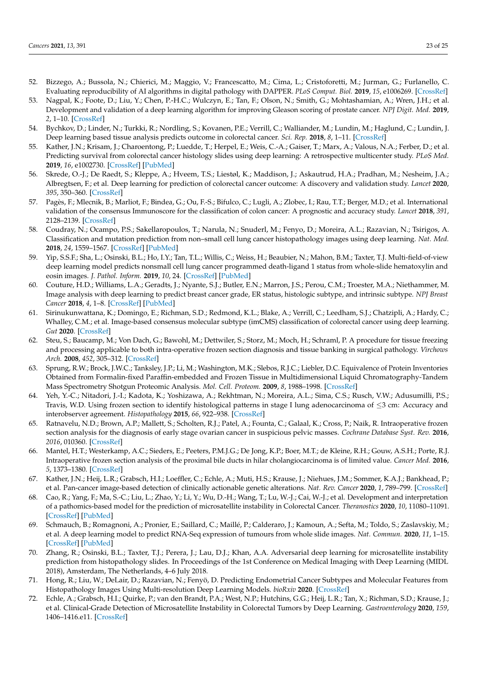- <span id="page-22-0"></span>52. Bizzego, A.; Bussola, N.; Chierici, M.; Maggio, V.; Francescatto, M.; Cima, L.; Cristoforetti, M.; Jurman, G.; Furlanello, C. Evaluating reproducibility of AI algorithms in digital pathology with DAPPER. *PLoS Comput. Biol.* **2019**, *15*, e1006269. [\[CrossRef\]](http://doi.org/10.1371/journal.pcbi.1006269)
- <span id="page-22-1"></span>53. Nagpal, K.; Foote, D.; Liu, Y.; Chen, P.-H.C.; Wulczyn, E.; Tan, F.; Olson, N.; Smith, G.; Mohtashamian, A.; Wren, J.H.; et al. Development and validation of a deep learning algorithm for improving Gleason scoring of prostate cancer. *NPJ Digit. Med.* **2019**, *2*, 1–10. [\[CrossRef\]](http://doi.org/10.1038/s41746-019-0112-2)
- <span id="page-22-2"></span>54. Bychkov, D.; Linder, N.; Turkki, R.; Nordling, S.; Kovanen, P.E.; Verrill, C.; Walliander, M.; Lundin, M.; Haglund, C.; Lundin, J. Deep learning based tissue analysis predicts outcome in colorectal cancer. *Sci. Rep.* **2018**, *8*, 1–11. [\[CrossRef\]](http://doi.org/10.1038/s41598-018-21758-3)
- <span id="page-22-3"></span>55. Kather, J.N.; Krisam, J.; Charoentong, P.; Luedde, T.; Herpel, E.; Weis, C.-A.; Gaiser, T.; Marx, A.; Valous, N.A.; Ferber, D.; et al. Predicting survival from colorectal cancer histology slides using deep learning: A retrospective multicenter study. *PLoS Med.* **2019**, *16*, e1002730. [\[CrossRef\]](http://doi.org/10.1371/journal.pmed.1002730) [\[PubMed\]](http://www.ncbi.nlm.nih.gov/pubmed/30677016)
- <span id="page-22-4"></span>56. Skrede, O.-J.; De Raedt, S.; Kleppe, A.; Hveem, T.S.; Liestøl, K.; Maddison, J.; Askautrud, H.A.; Pradhan, M.; Nesheim, J.A.; Albregtsen, F.; et al. Deep learning for prediction of colorectal cancer outcome: A discovery and validation study. *Lancet* **2020**, *395*, 350–360. [\[CrossRef\]](http://doi.org/10.1016/S0140-6736(19)32998-8)
- <span id="page-22-5"></span>57. Pagès, F.; Mlecnik, B.; Marliot, F.; Bindea, G.; Ou, F.-S.; Bifulco, C.; Lugli, A.; Zlobec, I.; Rau, T.T.; Berger, M.D.; et al. International validation of the consensus Immunoscore for the classification of colon cancer: A prognostic and accuracy study. *Lancet* **2018**, *391*, 2128–2139. [\[CrossRef\]](http://doi.org/10.1016/S0140-6736(18)30789-X)
- <span id="page-22-6"></span>58. Coudray, N.; Ocampo, P.S.; Sakellaropoulos, T.; Narula, N.; Snuderl, M.; Fenyo, D.; Moreira, A.L.; Razavian, N.; Tsirigos, A. Classification and mutation prediction from non–small cell lung cancer histopathology images using deep learning. *Nat. Med.* **2018**, *24*, 1559–1567. [\[CrossRef\]](http://doi.org/10.1038/s41591-018-0177-5) [\[PubMed\]](http://www.ncbi.nlm.nih.gov/pubmed/30224757)
- <span id="page-22-7"></span>59. Yip, S.S.F.; Sha, L.; Osinski, B.L.; Ho, I.Y.; Tan, T.L.; Willis, C.; Weiss, H.; Beaubier, N.; Mahon, B.M.; Taxter, T.J. Multi-field-of-view deep learning model predicts nonsmall cell lung cancer programmed death-ligand 1 status from whole-slide hematoxylin and eosin images. *J. Pathol. Inform.* **2019**, *10*, 24. [\[CrossRef\]](http://doi.org/10.4103/jpi.jpi_24_19) [\[PubMed\]](http://www.ncbi.nlm.nih.gov/pubmed/31523482)
- <span id="page-22-15"></span><span id="page-22-14"></span><span id="page-22-8"></span>60. Couture, H.D.; Williams, L.A.; Geradts, J.; Nyante, S.J.; Butler, E.N.; Marron, J.S.; Perou, C.M.; Troester, M.A.; Niethammer, M. Image analysis with deep learning to predict breast cancer grade, ER status, histologic subtype, and intrinsic subtype. *NPJ Breast Cancer* **2018**, *4*, 1–8. [\[CrossRef\]](http://doi.org/10.1038/s41523-018-0079-1) [\[PubMed\]](http://www.ncbi.nlm.nih.gov/pubmed/30182055)
- <span id="page-22-16"></span><span id="page-22-9"></span>61. Sirinukunwattana, K.; Domingo, E.; Richman, S.D.; Redmond, K.L.; Blake, A.; Verrill, C.; Leedham, S.J.; Chatzipli, A.; Hardy, C.; Whalley, C.M.; et al. Image-based consensus molecular subtype (imCMS) classification of colorectal cancer using deep learning. *Gut* **2020**. [\[CrossRef\]](http://doi.org/10.1136/gutjnl-2019-319866)
- <span id="page-22-17"></span><span id="page-22-10"></span>62. Steu, S.; Baucamp, M.; Von Dach, G.; Bawohl, M.; Dettwiler, S.; Storz, M.; Moch, H.; Schraml, P. A procedure for tissue freezing and processing applicable to both intra-operative frozen section diagnosis and tissue banking in surgical pathology. *Virchows Arch.* **2008**, *452*, 305–312. [\[CrossRef\]](http://doi.org/10.1007/s00428-008-0584-y)
- <span id="page-22-18"></span><span id="page-22-11"></span>63. Sprung, R.W.; Brock, J.W.C.; Tanksley, J.P.; Li, M.; Washington, M.K.; Slebos, R.J.C.; Liebler, D.C. Equivalence of Protein Inventories Obtained from Formalin-fixed Paraffin-embedded and Frozen Tissue in Multidimensional Liquid Chromatography-Tandem Mass Spectrometry Shotgun Proteomic Analysis. *Mol. Cell. Proteom.* **2009**, *8*, 1988–1998. [\[CrossRef\]](http://doi.org/10.1074/mcp.M800518-MCP200)
- <span id="page-22-19"></span><span id="page-22-12"></span>64. Yeh, Y.-C.; Nitadori, J.-I.; Kadota, K.; Yoshizawa, A.; Rekhtman, N.; Moreira, A.L.; Sima, C.S.; Rusch, V.W.; Adusumilli, P.S.; Travis, W.D. Using frozen section to identify histological patterns in stage I lung adenocarcinoma of ≤3 cm: Accuracy and interobserver agreement. *Histopathology* **2015**, *66*, 922–938. [\[CrossRef\]](http://doi.org/10.1111/his.12468)
- 65. Ratnavelu, N.D.; Brown, A.P.; Mallett, S.; Scholten, R.J.; Patel, A.; Founta, C.; Galaal, K.; Cross, P.; Naik, R. Intraoperative frozen section analysis for the diagnosis of early stage ovarian cancer in suspicious pelvic masses. *Cochrane Database Syst. Rev.* **2016**, *2016*, 010360. [\[CrossRef\]](http://doi.org/10.1002/14651858.CD010360.pub2)
- <span id="page-22-13"></span>66. Mantel, H.T.; Westerkamp, A.C.; Sieders, E.; Peeters, P.M.J.G.; De Jong, K.P.; Boer, M.T.; de Kleine, R.H.; Gouw, A.S.H.; Porte, R.J. Intraoperative frozen section analysis of the proximal bile ducts in hilar cholangiocarcinoma is of limited value. *Cancer Med.* **2016**, *5*, 1373–1380. [\[CrossRef\]](http://doi.org/10.1002/cam4.693)
- <span id="page-22-20"></span>67. Kather, J.N.; Heij, L.R.; Grabsch, H.I.; Loeffler, C.; Echle, A.; Muti, H.S.; Krause, J.; Niehues, J.M.; Sommer, K.A.J.; Bankhead, P.; et al. Pan-cancer image-based detection of clinically actionable genetic alterations. *Nat. Rev. Cancer* **2020**, *1*, 789–799. [\[CrossRef\]](http://doi.org/10.1038/s43018-020-0087-6)
- <span id="page-22-21"></span>68. Cao, R.; Yang, F.; Ma, S.-C.; Liu, L.; Zhao, Y.; Li, Y.; Wu, D.-H.; Wang, T.; Lu, W.-J.; Cai, W.-J.; et al. Development and interpretation of a pathomics-based model for the prediction of microsatellite instability in Colorectal Cancer. *Theranostics* **2020**, *10*, 11080–11091. [\[CrossRef\]](http://doi.org/10.7150/thno.49864) [\[PubMed\]](http://www.ncbi.nlm.nih.gov/pubmed/33042271)
- <span id="page-22-22"></span>69. Schmauch, B.; Romagnoni, A.; Pronier, E.; Saillard, C.; Maillé, P.; Calderaro, J.; Kamoun, A.; Sefta, M.; Toldo, S.; Zaslavskiy, M.; et al. A deep learning model to predict RNA-Seq expression of tumours from whole slide images. *Nat. Commun.* **2020**, *11*, 1–15. [\[CrossRef\]](http://doi.org/10.1038/s41467-020-17678-4) [\[PubMed\]](http://www.ncbi.nlm.nih.gov/pubmed/32747659)
- <span id="page-22-23"></span>70. Zhang, R.; Osinski, B.L.; Taxter, T.J.; Perera, J.; Lau, D.J.; Khan, A.A. Adversarial deep learning for microsatellite instability prediction from histopathology slides. In Proceedings of the 1st Conference on Medical Imaging with Deep Learning (MIDL 2018), Amsterdam, The Netherlands, 4–6 July 2018.
- <span id="page-22-24"></span>71. Hong, R.; Liu, W.; DeLair, D.; Razavian, N.; Fenyö, D. Predicting Endometrial Cancer Subtypes and Molecular Features from Histopathology Images Using Multi-resolution Deep Learning Models. *bioRxiv* **2020**. [\[CrossRef\]](http://doi.org/10.1101/2020.02.25.965038)
- <span id="page-22-25"></span>72. Echle, A.; Grabsch, H.I.; Quirke, P.; van den Brandt, P.A.; West, N.P.; Hutchins, G.G.; Heij, L.R.; Tan, X.; Richman, S.D.; Krause, J.; et al. Clinical-Grade Detection of Microsatellite Instability in Colorectal Tumors by Deep Learning. *Gastroenterology* **2020**, *159*, 1406–1416.e11. [\[CrossRef\]](http://doi.org/10.1053/j.gastro.2020.06.021)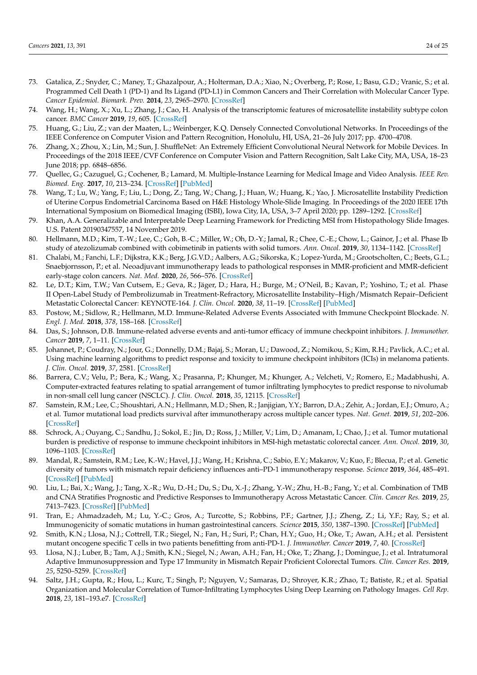- <span id="page-23-0"></span>73. Gatalica, Z.; Snyder, C.; Maney, T.; Ghazalpour, A.; Holterman, D.A.; Xiao, N.; Overberg, P.; Rose, I.; Basu, G.D.; Vranic, S.; et al. Programmed Cell Death 1 (PD-1) and Its Ligand (PD-L1) in Common Cancers and Their Correlation with Molecular Cancer Type. *Cancer Epidemiol. Biomark. Prev.* **2014**, *23*, 2965–2970. [\[CrossRef\]](http://doi.org/10.1158/1055-9965.EPI-14-0654)
- <span id="page-23-1"></span>74. Wang, H.; Wang, X.; Xu, L.; Zhang, J.; Cao, H. Analysis of the transcriptomic features of microsatellite instability subtype colon cancer. *BMC Cancer* **2019**, *19*, 605. [\[CrossRef\]](http://doi.org/10.1186/s12885-019-5802-2)
- <span id="page-23-2"></span>75. Huang, G.; Liu, Z.; van der Maaten, L.; Weinberger, K.Q. Densely Connected Convolutional Networks. In Proceedings of the IEEE Conference on Computer Vision and Pattern Recognition, Honolulu, HI, USA, 21–26 July 2017; pp. 4700–4708.
- <span id="page-23-3"></span>76. Zhang, X.; Zhou, X.; Lin, M.; Sun, J. ShuffleNet: An Extremely Efficient Convolutional Neural Network for Mobile Devices. In Proceedings of the 2018 IEEE/CVF Conference on Computer Vision and Pattern Recognition, Salt Lake City, MA, USA, 18–23 June 2018; pp. 6848–6856.
- <span id="page-23-4"></span>77. Quellec, G.; Cazuguel, G.; Cochener, B.; Lamard, M. Multiple-Instance Learning for Medical Image and Video Analysis. *IEEE Rev. Biomed. Eng.* **2017**, *10*, 213–234. [\[CrossRef\]](http://doi.org/10.1109/RBME.2017.2651164) [\[PubMed\]](http://www.ncbi.nlm.nih.gov/pubmed/28092576)
- <span id="page-23-5"></span>78. Wang, T.; Lu, W.; Yang, F.; Liu, L.; Dong, Z.; Tang, W.; Chang, J.; Huan, W.; Huang, K.; Yao, J. Microsatellite Instability Prediction of Uterine Corpus Endometrial Carcinoma Based on H&E Histology Whole-Slide Imaging. In Proceedings of the 2020 IEEE 17th International Symposium on Biomedical Imaging (ISBI), Iowa City, IA, USA, 3–7 April 2020; pp. 1289–1292. [\[CrossRef\]](http://doi.org/10.1109/ISBI45749.2020.9098647)
- <span id="page-23-6"></span>79. Khan, A.A. Generalizable and Interpretable Deep Learning Framework for Predicting MSI from Histopathology Slide Images. U.S. Patent 20190347557, 14 November 2019.
- <span id="page-23-7"></span>80. Hellmann, M.D.; Kim, T.-W.; Lee, C.; Goh, B.-C.; Miller, W.; Oh, D.-Y.; Jamal, R.; Chee, C.-E.; Chow, L.; Gainor, J.; et al. Phase Ib study of atezolizumab combined with cobimetinib in patients with solid tumors. *Ann. Oncol.* **2019**, *30*, 1134–1142. [\[CrossRef\]](http://doi.org/10.1093/annonc/mdz113)
- <span id="page-23-8"></span>81. Chalabi, M.; Fanchi, L.F.; Dijkstra, K.K.; Berg, J.G.V.D.; Aalbers, A.G.; Sikorska, K.; Lopez-Yurda, M.; Grootscholten, C.; Beets, G.L.; Snaebjornsson, P.; et al. Neoadjuvant immunotherapy leads to pathological responses in MMR-proficient and MMR-deficient early-stage colon cancers. *Nat. Med.* **2020**, *26*, 566–576. [\[CrossRef\]](http://doi.org/10.1038/s41591-020-0805-8)
- <span id="page-23-9"></span>82. Le, D.T.; Kim, T.W.; Van Cutsem, E.; Geva, R.; Jäger, D.; Hara, H.; Burge, M.; O'Neil, B.; Kavan, P.; Yoshino, T.; et al. Phase II Open-Label Study of Pembrolizumab in Treatment-Refractory, Microsatellite Instability–High/Mismatch Repair–Deficient Metastatic Colorectal Cancer: KEYNOTE-164. *J. Clin. Oncol.* **2020**, *38*, 11–19. [\[CrossRef\]](http://doi.org/10.1200/JCO.19.02107) [\[PubMed\]](http://www.ncbi.nlm.nih.gov/pubmed/31725351)
- <span id="page-23-10"></span>83. Postow, M.; Sidlow, R.; Hellmann, M.D. Immune-Related Adverse Events Associated with Immune Checkpoint Blockade. *N. Engl. J. Med.* **2018**, *378*, 158–168. [\[CrossRef\]](http://doi.org/10.1056/NEJMra1703481)
- <span id="page-23-11"></span>84. Das, S.; Johnson, D.B. Immune-related adverse events and anti-tumor efficacy of immune checkpoint inhibitors. *J. Immunother. Cancer* **2019**, *7*, 1–11. [\[CrossRef\]](http://doi.org/10.1186/s40425-019-0805-8)
- <span id="page-23-12"></span>85. Johannet, P.; Coudray, N.; Jour, G.; Donnelly, D.M.; Bajaj, S.; Moran, U.; Dawood, Z.; Nomikou, S.; Kim, R.H.; Pavlick, A.C.; et al. Using machine learning algorithms to predict response and toxicity to immune checkpoint inhibitors (ICIs) in melanoma patients. *J. Clin. Oncol.* **2019**, *37*, 2581. [\[CrossRef\]](http://doi.org/10.1200/JCO.2019.37.15_suppl.2581)
- <span id="page-23-13"></span>86. Barrera, C.V.; Velu, P.; Bera, K.; Wang, X.; Prasanna, P.; Khunger, M.; Khunger, A.; Velcheti, V.; Romero, E.; Madabhushi, A. Computer-extracted features relating to spatial arrangement of tumor infiltrating lymphocytes to predict response to nivolumab in non-small cell lung cancer (NSCLC). *J. Clin. Oncol.* **2018**, *35*, 12115. [\[CrossRef\]](http://doi.org/10.1200/JCO.2018.36.15_suppl.12115)
- <span id="page-23-14"></span>87. Samstein, R.M.; Lee, C.; Shoushtari, A.N.; Hellmann, M.D.; Shen, R.; Janjigian, Y.Y.; Barron, D.A.; Zehir, A.; Jordan, E.J.; Omuro, A.; et al. Tumor mutational load predicts survival after immunotherapy across multiple cancer types. *Nat. Genet.* **2019**, *51*, 202–206. [\[CrossRef\]](http://doi.org/10.1038/s41588-018-0312-8)
- <span id="page-23-15"></span>88. Schrock, A.; Ouyang, C.; Sandhu, J.; Sokol, E.; Jin, D.; Ross, J.; Miller, V.; Lim, D.; Amanam, I.; Chao, J.; et al. Tumor mutational burden is predictive of response to immune checkpoint inhibitors in MSI-high metastatic colorectal cancer. *Ann. Oncol.* **2019**, *30*, 1096–1103. [\[CrossRef\]](http://doi.org/10.1093/annonc/mdz134)
- <span id="page-23-16"></span>89. Mandal, R.; Samstein, R.M.; Lee, K.-W.; Havel, J.J.; Wang, H.; Krishna, C.; Sabio, E.Y.; Makarov, V.; Kuo, F.; Blecua, P.; et al. Genetic diversity of tumors with mismatch repair deficiency influences anti–PD-1 immunotherapy response. *Science* **2019**, *364*, 485–491. [\[CrossRef\]](http://doi.org/10.1126/science.aau0447) [\[PubMed\]](http://www.ncbi.nlm.nih.gov/pubmed/31048490)
- 90. Liu, L.; Bai, X.; Wang, J.; Tang, X.-R.; Wu, D.-H.; Du, S.; Du, X.-J.; Zhang, Y.-W.; Zhu, H.-B.; Fang, Y.; et al. Combination of TMB and CNA Stratifies Prognostic and Predictive Responses to Immunotherapy Across Metastatic Cancer. *Clin. Cancer Res.* **2019**, *25*, 7413–7423. [\[CrossRef\]](http://doi.org/10.1158/1078-0432.CCR-19-0558) [\[PubMed\]](http://www.ncbi.nlm.nih.gov/pubmed/31515453)
- <span id="page-23-17"></span>91. Tran, E.; Ahmadzadeh, M.; Lu, Y.-C.; Gros, A.; Turcotte, S.; Robbins, P.F.; Gartner, J.J.; Zheng, Z.; Li, Y.F.; Ray, S.; et al. Immunogenicity of somatic mutations in human gastrointestinal cancers. *Science* **2015**, *350*, 1387–1390. [\[CrossRef\]](http://doi.org/10.1126/science.aad1253) [\[PubMed\]](http://www.ncbi.nlm.nih.gov/pubmed/26516200)
- <span id="page-23-18"></span>92. Smith, K.N.; Llosa, N.J.; Cottrell, T.R.; Siegel, N.; Fan, H.; Suri, P.; Chan, H.Y.; Guo, H.; Oke, T.; Awan, A.H.; et al. Persistent mutant oncogene specific T cells in two patients benefitting from anti-PD-1. *J. Immunother. Cancer* **2019**, *7*, 40. [\[CrossRef\]](http://doi.org/10.1186/s40425-018-0492-x)
- <span id="page-23-19"></span>93. Llosa, N.J.; Luber, B.; Tam, A.J.; Smith, K.N.; Siegel, N.; Awan, A.H.; Fan, H.; Oke, T.; Zhang, J.; Domingue, J.; et al. Intratumoral Adaptive Immunosuppression and Type 17 Immunity in Mismatch Repair Proficient Colorectal Tumors. *Clin. Cancer Res.* **2019**, *25*, 5250–5259. [\[CrossRef\]](http://doi.org/10.1158/1078-0432.CCR-19-0114)
- <span id="page-23-20"></span>94. Saltz, J.H.; Gupta, R.; Hou, L.; Kurc, T.; Singh, P.; Nguyen, V.; Samaras, D.; Shroyer, K.R.; Zhao, T.; Batiste, R.; et al. Spatial Organization and Molecular Correlation of Tumor-Infiltrating Lymphocytes Using Deep Learning on Pathology Images. *Cell Rep.* **2018**, *23*, 181–193.e7. [\[CrossRef\]](http://doi.org/10.1016/j.celrep.2018.03.086)